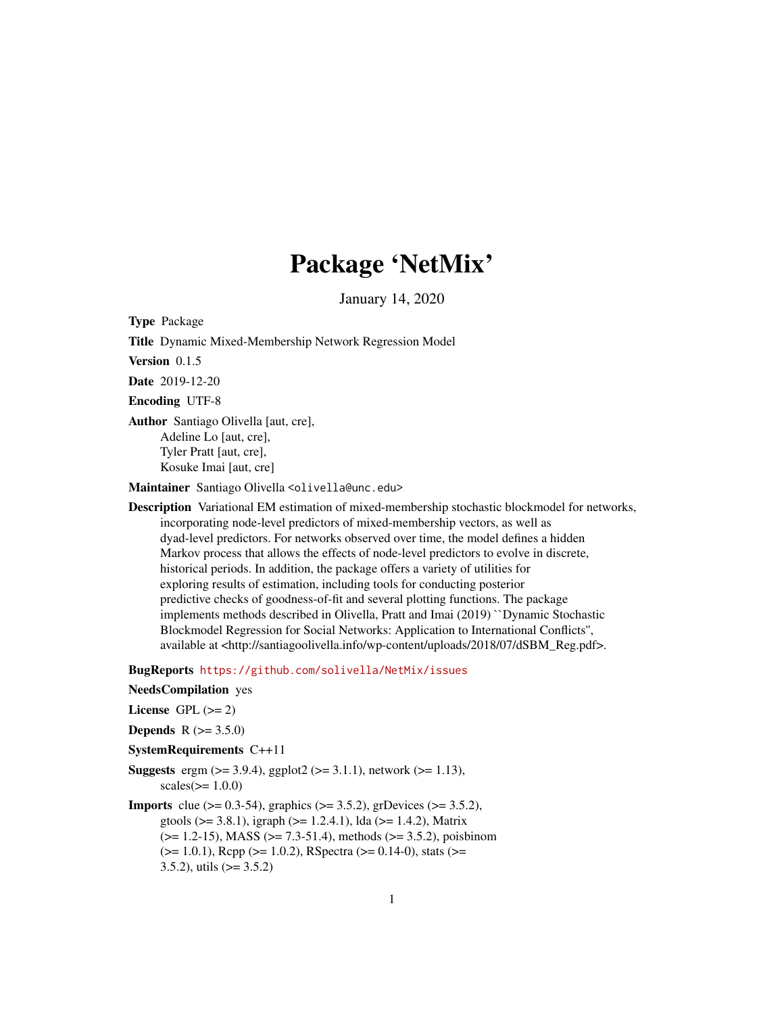# Package 'NetMix'

January 14, 2020

Type Package Title Dynamic Mixed-Membership Network Regression Model Version 0.1.5 Date 2019-12-20 Encoding UTF-8 Author Santiago Olivella [aut, cre], Adeline Lo [aut, cre], Tyler Pratt [aut, cre], Kosuke Imai [aut, cre] Maintainer Santiago Olivella <olivella@unc.edu>

Description Variational EM estimation of mixed-membership stochastic blockmodel for networks, incorporating node-level predictors of mixed-membership vectors, as well as dyad-level predictors. For networks observed over time, the model defines a hidden Markov process that allows the effects of node-level predictors to evolve in discrete, historical periods. In addition, the package offers a variety of utilities for exploring results of estimation, including tools for conducting posterior predictive checks of goodness-of-fit and several plotting functions. The package implements methods described in Olivella, Pratt and Imai (2019) ``Dynamic Stochastic Blockmodel Regression for Social Networks: Application to International Conflicts'', available at <http://santiagoolivella.info/wp-content/uploads/2018/07/dSBM\_Reg.pdf>.

BugReports <https://github.com/solivella/NetMix/issues>

- NeedsCompilation yes
- License GPL  $(>= 2)$
- **Depends**  $R (= 3.5.0)$
- SystemRequirements C++11
- **Suggests** ergm  $(>= 3.9.4)$ , ggplot2  $(>= 3.1.1)$ , network  $(>= 1.13)$ ,  $scales(>= 1.0.0)$
- **Imports** clue ( $> = 0.3-54$ ), graphics ( $> = 3.5.2$ ), grDevices ( $> = 3.5.2$ ), gtools ( $>= 3.8.1$ ), igraph ( $>= 1.2.4.1$ ), lda ( $>= 1.4.2$ ), Matrix  $(>= 1.2-15)$ , MASS  $(>= 7.3-51.4)$ , methods  $(>= 3.5.2)$ , poisbinom  $(>= 1.0.1)$ , Rcpp  $(>= 1.0.2)$ , RSpectra  $(>= 0.14-0)$ , stats  $(>= 1.0.1)$ 3.5.2), utils  $(>= 3.5.2)$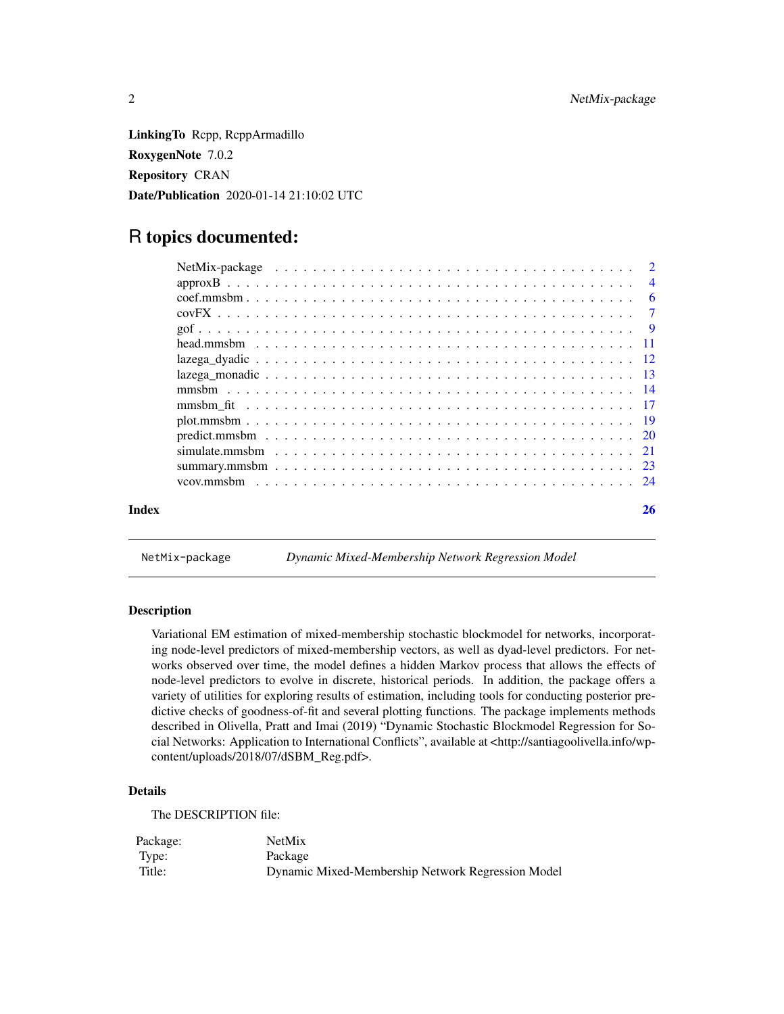<span id="page-1-0"></span>LinkingTo Rcpp, RcppArmadillo RoxygenNote 7.0.2 Repository CRAN Date/Publication 2020-01-14 21:10:02 UTC

# R topics documented:

| Index | 26 |
|-------|----|
|       |    |

NetMix-package *Dynamic Mixed-Membership Network Regression Model*

# Description

Variational EM estimation of mixed-membership stochastic blockmodel for networks, incorporating node-level predictors of mixed-membership vectors, as well as dyad-level predictors. For networks observed over time, the model defines a hidden Markov process that allows the effects of node-level predictors to evolve in discrete, historical periods. In addition, the package offers a variety of utilities for exploring results of estimation, including tools for conducting posterior predictive checks of goodness-of-fit and several plotting functions. The package implements methods described in Olivella, Pratt and Imai (2019) "Dynamic Stochastic Blockmodel Regression for Social Networks: Application to International Conflicts", available at <http://santiagoolivella.info/wpcontent/uploads/2018/07/dSBM\_Reg.pdf>.

# Details

The DESCRIPTION file:

| Package: | <b>NetMix</b>                                     |
|----------|---------------------------------------------------|
| Type:    | Package                                           |
| Title:   | Dynamic Mixed-Membership Network Regression Model |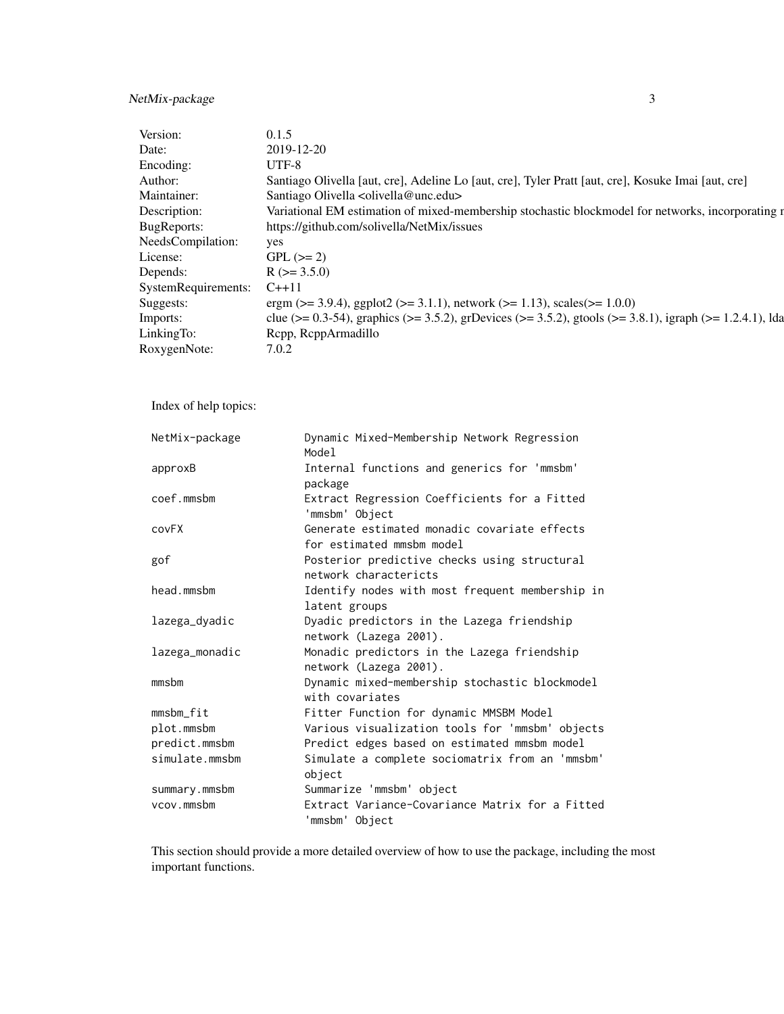# NetMix-package 3

| Version:                  | 0.1.5                                                                                                                                                                                |
|---------------------------|--------------------------------------------------------------------------------------------------------------------------------------------------------------------------------------|
|                           | 2019-12-20                                                                                                                                                                           |
| Encoding:                 | UTF-8                                                                                                                                                                                |
| \uthor:                   | Santiago Olivella [aut, cre], Adeline Lo [aut, cre], Tyler Pratt [aut, cre], Kosuke Imai [aut, cre]                                                                                  |
| Maintainer:               | Santiago Olivella <olivella@unc.edu></olivella@unc.edu>                                                                                                                              |
| Description:              | Variational EM estimation of mixed-membership stochastic blockmodel for networks, incorporating r                                                                                    |
| BugReports:               | https://github.com/solivella/NetMix/issues                                                                                                                                           |
| NeedsCompilation:         |                                                                                                                                                                                      |
| License:                  | $GPL (= 2)$                                                                                                                                                                          |
| Depends:                  | $R$ ( $>=$ 3.5.0)                                                                                                                                                                    |
| SystemRequirements: C++11 |                                                                                                                                                                                      |
| Suggests:                 |                                                                                                                                                                                      |
| Imports:                  | ergm (>= 3.9.4), ggplot2 (>= 3.1.1), network (>= 1.13), scales(>= 1.0.0)<br>clue (>= 0.3-54), graphics (>= 3.5.2), grDevices (>= 3.5.2), gtools (>= 3.8.1), igraph (>= 1.2.4.1), lda |
| LinkingTo:                | Rcpp, RcppArmadillo                                                                                                                                                                  |
| RoxygenNote:              | 7.0.2                                                                                                                                                                                |
|                           |                                                                                                                                                                                      |

Index of help topics:

| NetMix-package | Dynamic Mixed-Membership Network Regression<br>Model                      |
|----------------|---------------------------------------------------------------------------|
| approxB        | Internal functions and generics for 'mmsbm'<br>package                    |
| coef.mmsbm     | Extract Regression Coefficients for a Fitted<br>'mmsbm' Object            |
| covFX          | Generate estimated monadic covariate effects<br>for estimated mmsbm model |
| gof            | Posterior predictive checks using structural<br>network charactericts     |
| head.mmsbm     | Identify nodes with most frequent membership in<br>latent groups          |
| lazega_dyadic  | Dyadic predictors in the Lazega friendship<br>network (Lazega 2001).      |
| lazega_monadic | Monadic predictors in the Lazega friendship<br>network (Lazega 2001).     |
| mmsbm          | Dynamic mixed-membership stochastic blockmodel<br>with covariates         |
| mmsbm_fit      | Fitter Function for dynamic MMSBM Model                                   |
| plot.mmsbm     | Various visualization tools for 'mmsbm' objects                           |
| predict.mmsbm  | Predict edges based on estimated mmsbm model                              |
| simulate.mmsbm | Simulate a complete sociomatrix from an 'mmsbm'<br>object                 |
| summary.mmsbm  | Summarize 'mmsbm' object                                                  |
| vcov.mmsbm     | Extract Variance-Covariance Matrix for a Fitted<br>'mmsbm' Object         |

This section should provide a more detailed overview of how to use the package, including the most important functions.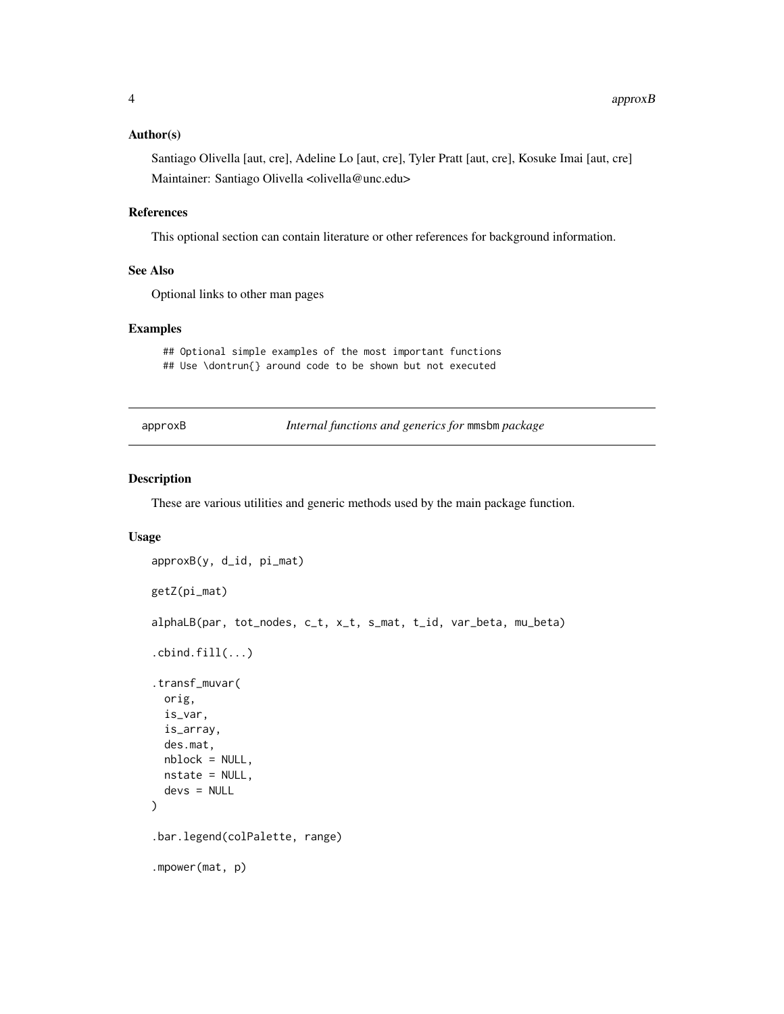#### <span id="page-3-0"></span>Author(s)

Santiago Olivella [aut, cre], Adeline Lo [aut, cre], Tyler Pratt [aut, cre], Kosuke Imai [aut, cre] Maintainer: Santiago Olivella <olivella@unc.edu>

#### References

This optional section can contain literature or other references for background information.

# See Also

Optional links to other man pages

#### Examples

## Optional simple examples of the most important functions ## Use \dontrun{} around code to be shown but not executed

approxB *Internal functions and generics for* mmsbm *package*

# Description

These are various utilities and generic methods used by the main package function.

#### Usage

```
approxB(y, d_id, pi_mat)
getZ(pi_mat)
alphaLB(par, tot_nodes, c_t, x_t, s_mat, t_id, var_beta, mu_beta)
.cbind.fill(...).transf_muvar(
 orig,
 is_var,
  is_array,
 des.mat,
 nblock = NULL,nstate = NULL,
  devs = NULL)
.bar.legend(colPalette, range)
.mpower(mat, p)
```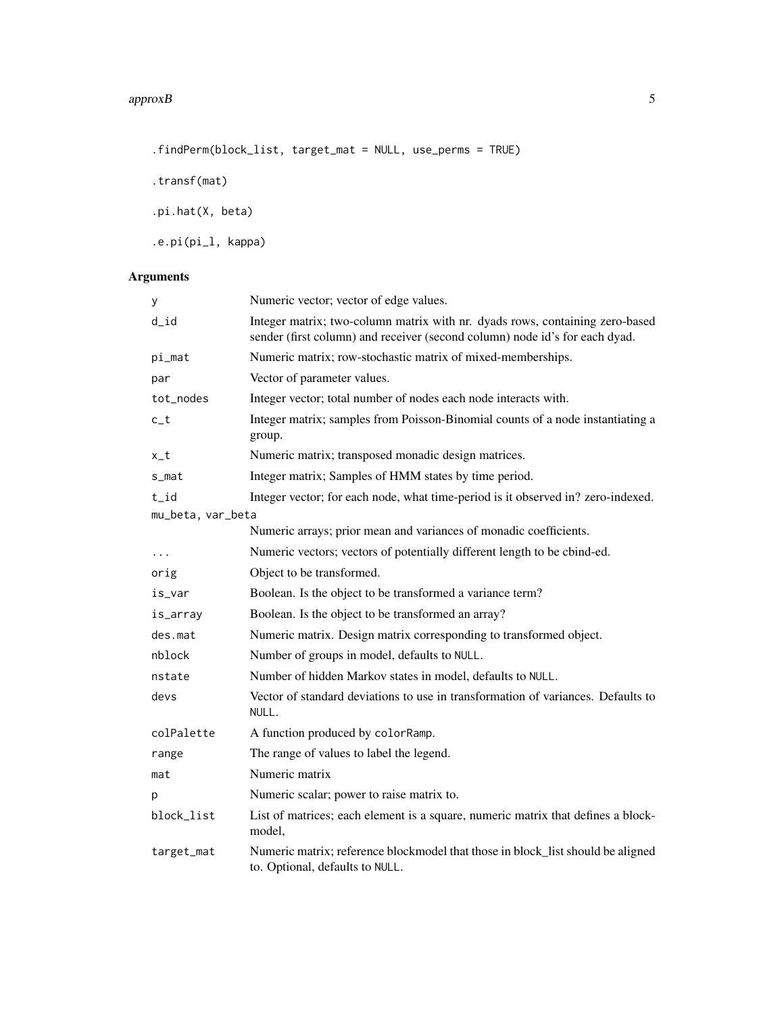.findPerm(block\_list, target\_mat = NULL, use\_perms = TRUE)

.transf(mat)

.pi.hat(X, beta)

.e.pi(pi\_l, kappa)

# Arguments

| у                 | Numeric vector; vector of edge values.                                                                                                                      |
|-------------------|-------------------------------------------------------------------------------------------------------------------------------------------------------------|
| $d_id$            | Integer matrix; two-column matrix with nr. dyads rows, containing zero-based<br>sender (first column) and receiver (second column) node id's for each dyad. |
| pi_mat            | Numeric matrix; row-stochastic matrix of mixed-memberships.                                                                                                 |
| par               | Vector of parameter values.                                                                                                                                 |
| tot_nodes         | Integer vector; total number of nodes each node interacts with.                                                                                             |
| $c_t$             | Integer matrix; samples from Poisson-Binomial counts of a node instantiating a<br>group.                                                                    |
| x_t               | Numeric matrix; transposed monadic design matrices.                                                                                                         |
| s_mat             | Integer matrix; Samples of HMM states by time period.                                                                                                       |
| t_id              | Integer vector; for each node, what time-period is it observed in? zero-indexed.                                                                            |
| mu_beta, var_beta |                                                                                                                                                             |
|                   | Numeric arrays; prior mean and variances of monadic coefficients.                                                                                           |
| $\cdots$          | Numeric vectors; vectors of potentially different length to be cbind-ed.                                                                                    |
| orig              | Object to be transformed.                                                                                                                                   |
| is_var            | Boolean. Is the object to be transformed a variance term?                                                                                                   |
| is_array          | Boolean. Is the object to be transformed an array?                                                                                                          |
| des.mat           | Numeric matrix. Design matrix corresponding to transformed object.                                                                                          |
| nblock            | Number of groups in model, defaults to NULL.                                                                                                                |
| nstate            | Number of hidden Markov states in model, defaults to NULL.                                                                                                  |
| devs              | Vector of standard deviations to use in transformation of variances. Defaults to<br>NULL.                                                                   |
| colPalette        | A function produced by colorRamp.                                                                                                                           |
| range             | The range of values to label the legend.                                                                                                                    |
| mat               | Numeric matrix                                                                                                                                              |
| р                 | Numeric scalar; power to raise matrix to.                                                                                                                   |
| block_list        | List of matrices; each element is a square, numeric matrix that defines a block-<br>model,                                                                  |
| target_mat        | Numeric matrix; reference blockmodel that those in block_list should be aligned<br>to. Optional, defaults to NULL.                                          |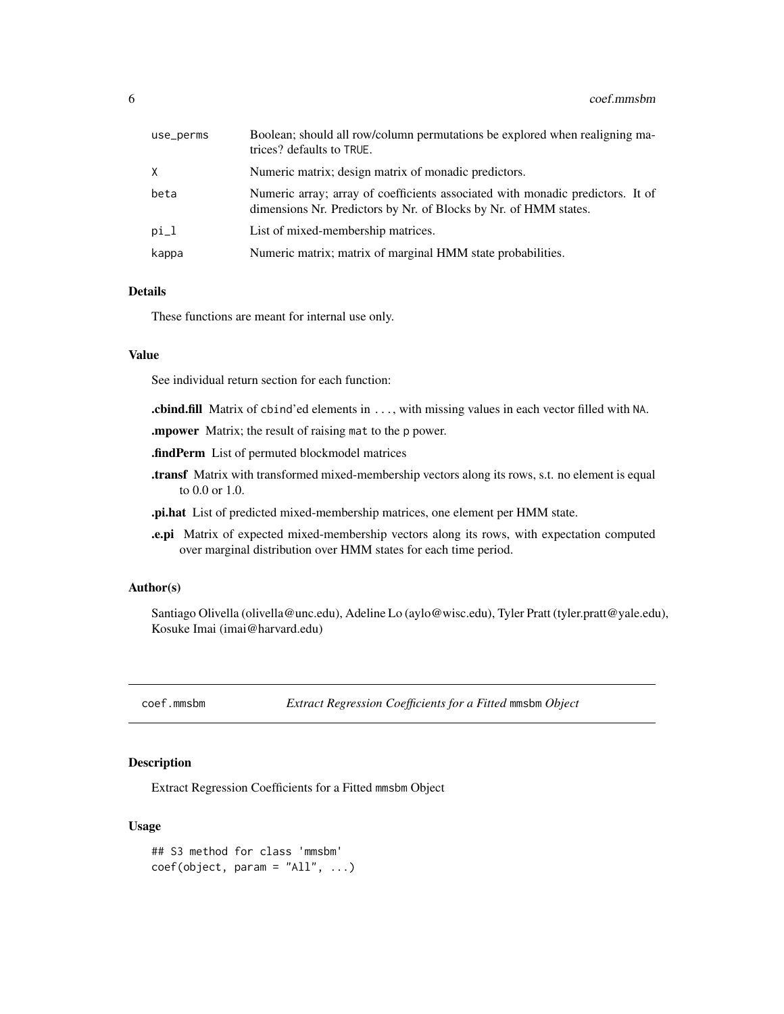<span id="page-5-0"></span>

| use_perms | Boolean; should all row/column permutations be explored when realigning ma-<br>trices? defaults to TRUE.                                           |
|-----------|----------------------------------------------------------------------------------------------------------------------------------------------------|
| X         | Numeric matrix; design matrix of monadic predictors.                                                                                               |
| beta      | Numeric array; array of coefficients associated with monadic predictors. It of<br>dimensions Nr. Predictors by Nr. of Blocks by Nr. of HMM states. |
| $pi_l$    | List of mixed-membership matrices.                                                                                                                 |
| kappa     | Numeric matrix; matrix of marginal HMM state probabilities.                                                                                        |

# Details

These functions are meant for internal use only.

#### Value

See individual return section for each function:

.cbind.fill Matrix of cbind'ed elements in ..., with missing values in each vector filled with NA.

.mpower Matrix; the result of raising mat to the p power.

.findPerm List of permuted blockmodel matrices

- .transf Matrix with transformed mixed-membership vectors along its rows, s.t. no element is equal to 0.0 or 1.0.
- .pi.hat List of predicted mixed-membership matrices, one element per HMM state.
- .e.pi Matrix of expected mixed-membership vectors along its rows, with expectation computed over marginal distribution over HMM states for each time period.

# Author(s)

Santiago Olivella (olivella@unc.edu), Adeline Lo (aylo@wisc.edu), Tyler Pratt (tyler.pratt@yale.edu), Kosuke Imai (imai@harvard.edu)

coef.mmsbm *Extract Regression Coefficients for a Fitted* mmsbm *Object*

# Description

Extract Regression Coefficients for a Fitted mmsbm Object

### Usage

```
## S3 method for class 'mmsbm'
coef(object, param = "All", ...)
```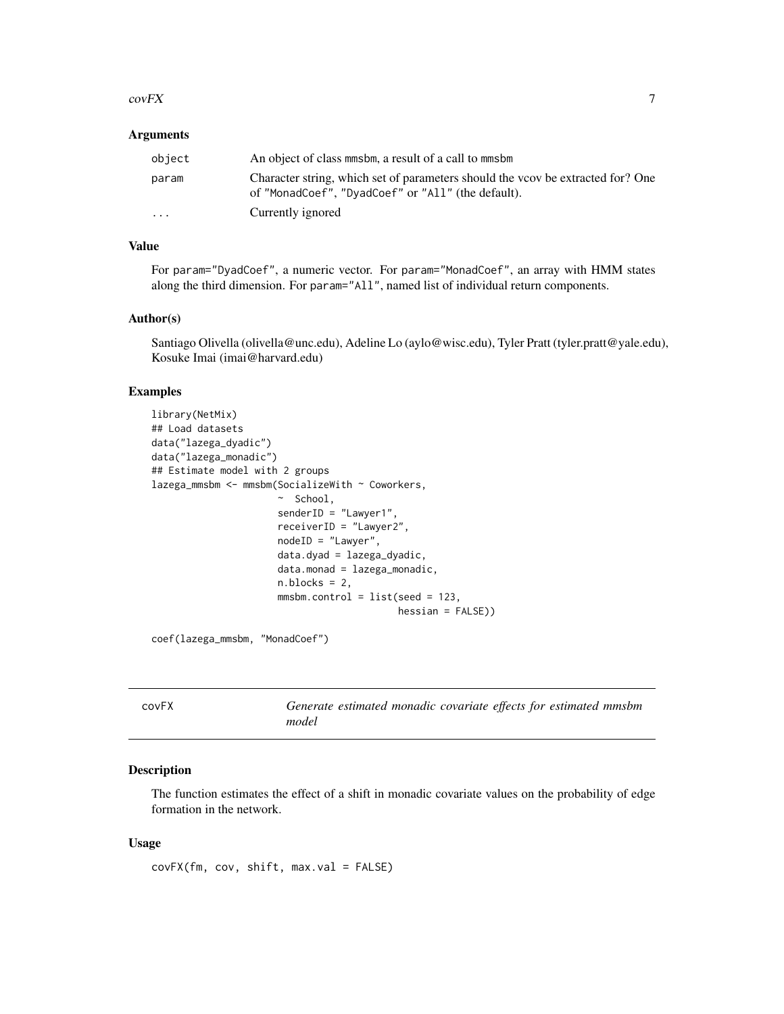#### <span id="page-6-0"></span> $covFX$  27

## **Arguments**

| object  | An object of class mmsbm, a result of a call to mmsbm                                                                                 |
|---------|---------------------------------------------------------------------------------------------------------------------------------------|
| param   | Character string, which set of parameters should the vcov be extracted for? One<br>of "MonadCoef", "DyadCoef" or "All" (the default). |
| $\cdot$ | Currently ignored                                                                                                                     |

# Value

For param="DyadCoef", a numeric vector. For param="MonadCoef", an array with HMM states along the third dimension. For param="All", named list of individual return components.

#### Author(s)

Santiago Olivella (olivella@unc.edu), Adeline Lo (aylo@wisc.edu), Tyler Pratt (tyler.pratt@yale.edu), Kosuke Imai (imai@harvard.edu)

# Examples

```
library(NetMix)
## Load datasets
data("lazega_dyadic")
data("lazega_monadic")
## Estimate model with 2 groups
lazega_mmsbm <- mmsbm(SocializeWith ~ Coworkers,
                      ~ School,
                      senderID = "Lawyer1",
                      receiverID = "Lawyer2",
                      nodeID = "Lawyer",
                      data.dyad = lazega_dyadic,
                      data.monad = lazega_monadic,
                      n.blocks = 2,
                      mmsbm.control = list(seed = 123,
                                           hessian = FALSE))
```
coef(lazega\_mmsbm, "MonadCoef")

| <b>COVFX</b> | Generate estimated monadic covariate effects for estimated mmsbm |
|--------------|------------------------------------------------------------------|
|              | model                                                            |

# Description

The function estimates the effect of a shift in monadic covariate values on the probability of edge formation in the network.

#### Usage

covFX(fm, cov, shift, max.val = FALSE)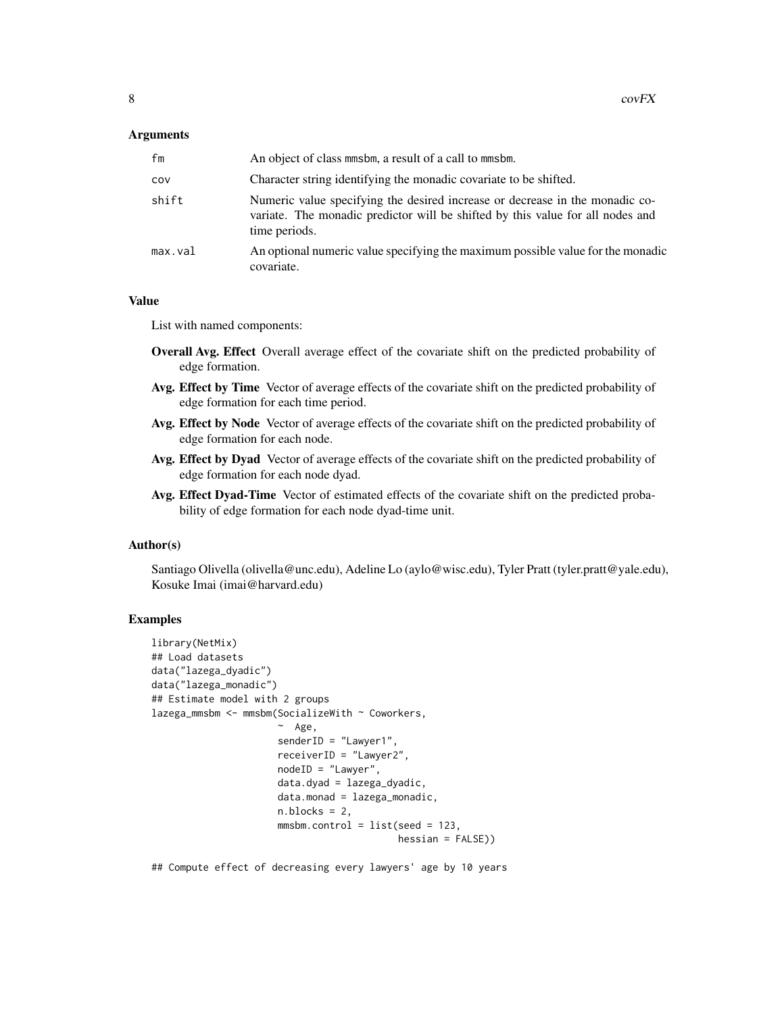#### Arguments

| fm      | An object of class mmsbm, a result of a call to mmsbm.                                                                                                                          |
|---------|---------------------------------------------------------------------------------------------------------------------------------------------------------------------------------|
| cov     | Character string identifying the monadic covariate to be shifted.                                                                                                               |
| shift   | Numeric value specifying the desired increase or decrease in the monadic co-<br>variate. The monadic predictor will be shifted by this value for all nodes and<br>time periods. |
| max.val | An optional numeric value specifying the maximum possible value for the monadic<br>covariate.                                                                                   |

# Value

List with named components:

- Overall Avg. Effect Overall average effect of the covariate shift on the predicted probability of edge formation.
- Avg. Effect by Time Vector of average effects of the covariate shift on the predicted probability of edge formation for each time period.
- Avg. Effect by Node Vector of average effects of the covariate shift on the predicted probability of edge formation for each node.
- Avg. Effect by Dyad Vector of average effects of the covariate shift on the predicted probability of edge formation for each node dyad.
- Avg. Effect Dyad-Time Vector of estimated effects of the covariate shift on the predicted probability of edge formation for each node dyad-time unit.

# Author(s)

Santiago Olivella (olivella@unc.edu), Adeline Lo (aylo@wisc.edu), Tyler Pratt (tyler.pratt@yale.edu), Kosuke Imai (imai@harvard.edu)

# Examples

```
library(NetMix)
## Load datasets
data("lazega_dyadic")
data("lazega_monadic")
## Estimate model with 2 groups
lazega_mmsbm <- mmsbm(SocializeWith ~ Coworkers,
                      ~\sim Age,
                      senderID = "Lawyer1",
                      receiverID = "Lawyer2",
                      nodeID = "Lawyer",
                      data.dyad = lazega_dyadic,
                      data.monad = lazega_monadic,
                      n.blocks = 2,
                      mmsbm.control = list(seed = 123,hessian = FALSE))
```
## Compute effect of decreasing every lawyers' age by 10 years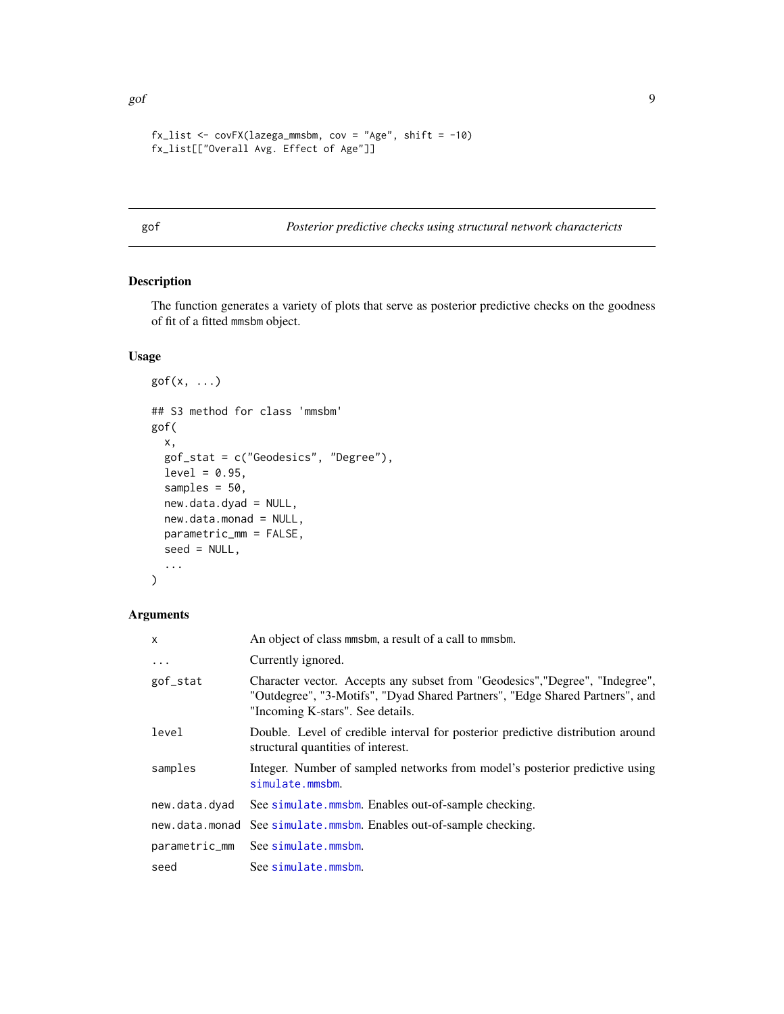```
fx_list \leftarrow covFX(lazega_mmsbm, cov = "Age", shift = -10)fx_list[["Overall Avg. Effect of Age"]]
```
gof *Posterior predictive checks using structural network charactericts*

# Description

The function generates a variety of plots that serve as posterior predictive checks on the goodness of fit of a fitted mmsbm object.

# Usage

```
gof(x, \ldots)## S3 method for class 'mmsbm'
gof(
 x,
  gof_stat = c("Geodesics", "Degree"),
 level = 0.95,
  samples = 50,
 new.data.dyad = NULL,
 new.data.monad = NULL,
 parametric_mm = FALSE,
  seed = NULL,
  ...
\mathcal{L}
```
# Arguments

| X             | An object of class mmsbm, a result of a call to mmsbm.                                                                                                                                           |
|---------------|--------------------------------------------------------------------------------------------------------------------------------------------------------------------------------------------------|
| $\ddots$      | Currently ignored.                                                                                                                                                                               |
| gof_stat      | Character vector. Accepts any subset from "Geodesics", "Degree", "Indegree",<br>"Outdegree", "3-Motifs", "Dyad Shared Partners", "Edge Shared Partners", and<br>"Incoming K-stars". See details. |
| level         | Double. Level of credible interval for posterior predictive distribution around<br>structural quantities of interest.                                                                            |
| samples       | Integer. Number of sampled networks from model's posterior predictive using<br>simulate.mmsbm.                                                                                                   |
| new.data.dyad | See simulate.mmsbm. Enables out-of-sample checking.                                                                                                                                              |
|               | new data monad See simulate mmsbm. Enables out-of-sample checking.                                                                                                                               |
| parametric_mm | See simulate.mmsbm.                                                                                                                                                                              |
| seed          | See simulate.mmsbm.                                                                                                                                                                              |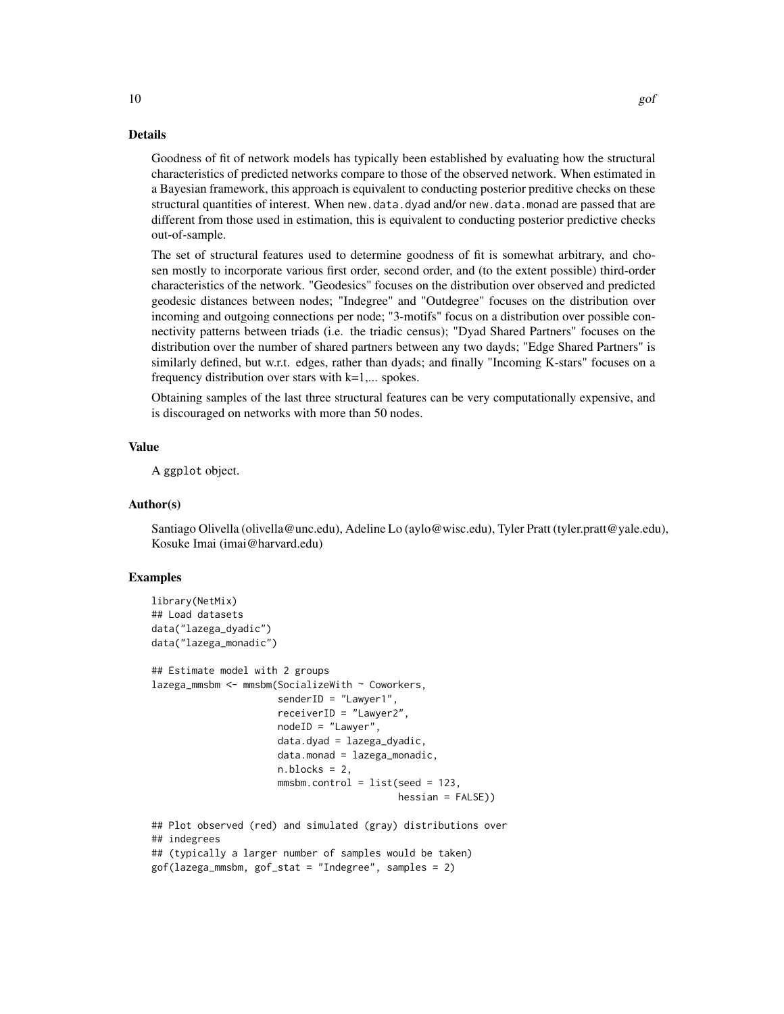#### Details

Goodness of fit of network models has typically been established by evaluating how the structural characteristics of predicted networks compare to those of the observed network. When estimated in a Bayesian framework, this approach is equivalent to conducting posterior preditive checks on these structural quantities of interest. When new.data.dyad and/or new.data.monad are passed that are different from those used in estimation, this is equivalent to conducting posterior predictive checks out-of-sample.

The set of structural features used to determine goodness of fit is somewhat arbitrary, and chosen mostly to incorporate various first order, second order, and (to the extent possible) third-order characteristics of the network. "Geodesics" focuses on the distribution over observed and predicted geodesic distances between nodes; "Indegree" and "Outdegree" focuses on the distribution over incoming and outgoing connections per node; "3-motifs" focus on a distribution over possible connectivity patterns between triads (i.e. the triadic census); "Dyad Shared Partners" focuses on the distribution over the number of shared partners between any two dayds; "Edge Shared Partners" is similarly defined, but w.r.t. edges, rather than dyads; and finally "Incoming K-stars" focuses on a frequency distribution over stars with  $k=1,...$  spokes.

Obtaining samples of the last three structural features can be very computationally expensive, and is discouraged on networks with more than 50 nodes.

# Value

A ggplot object.

# Author(s)

Santiago Olivella (olivella@unc.edu), Adeline Lo (aylo@wisc.edu), Tyler Pratt (tyler.pratt@yale.edu), Kosuke Imai (imai@harvard.edu)

# Examples

```
library(NetMix)
## Load datasets
data("lazega_dyadic")
data("lazega_monadic")
## Estimate model with 2 groups
lazega_mmsbm <- mmsbm(SocializeWith ~ Coworkers,
                      senderID = "Lawyer1",
                      receiverID = "Lawyer2",
                      nodeID = "Lawyer",
                      data.dyad = lazega_dyadic,
                      data.monad = lazega_monadic,
                      n.blocks = 2,
                      mmsbm.control = list(seed = 123,hessian = FALSE))
## Plot observed (red) and simulated (gray) distributions over
## indegrees
## (typically a larger number of samples would be taken)
gof(lazega_mmsbm, gof_stat = "Indegree", samples = 2)
```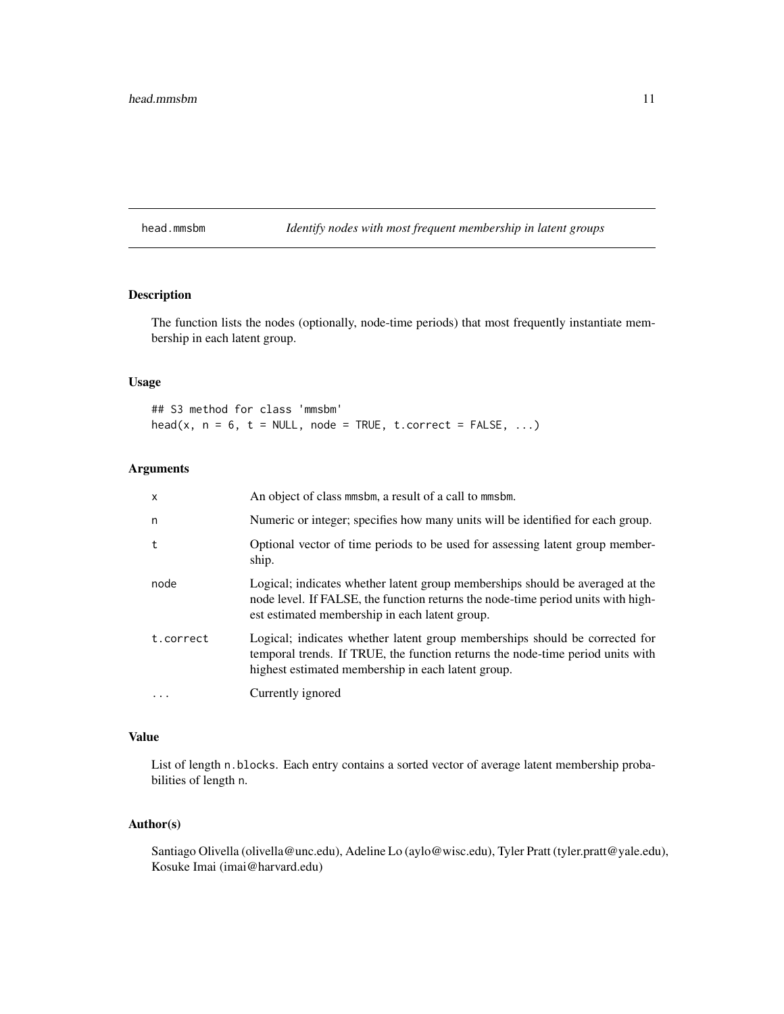<span id="page-10-0"></span>head.mmsbm *Identify nodes with most frequent membership in latent groups*

# Description

The function lists the nodes (optionally, node-time periods) that most frequently instantiate membership in each latent group.

#### Usage

## S3 method for class 'mmsbm'  $head(x, n = 6, t = NULL, node = TRUE, t.correct = FALSE, ...)$ 

# Arguments

| $\mathsf{x}$ | An object of class minsbin, a result of a call to minsbin.                                                                                                                                                          |
|--------------|---------------------------------------------------------------------------------------------------------------------------------------------------------------------------------------------------------------------|
| n            | Numeric or integer; specifies how many units will be identified for each group.                                                                                                                                     |
| t            | Optional vector of time periods to be used for assessing latent group member-<br>ship.                                                                                                                              |
| node         | Logical; indicates whether latent group memberships should be averaged at the<br>node level. If FALSE, the function returns the node-time period units with high-<br>est estimated membership in each latent group. |
| t.correct    | Logical; indicates whether latent group memberships should be corrected for<br>temporal trends. If TRUE, the function returns the node-time period units with<br>highest estimated membership in each latent group. |
| $\ddotsc$    | Currently ignored                                                                                                                                                                                                   |

#### Value

List of length n.blocks. Each entry contains a sorted vector of average latent membership probabilities of length n.

# Author(s)

Santiago Olivella (olivella@unc.edu), Adeline Lo (aylo@wisc.edu), Tyler Pratt (tyler.pratt@yale.edu), Kosuke Imai (imai@harvard.edu)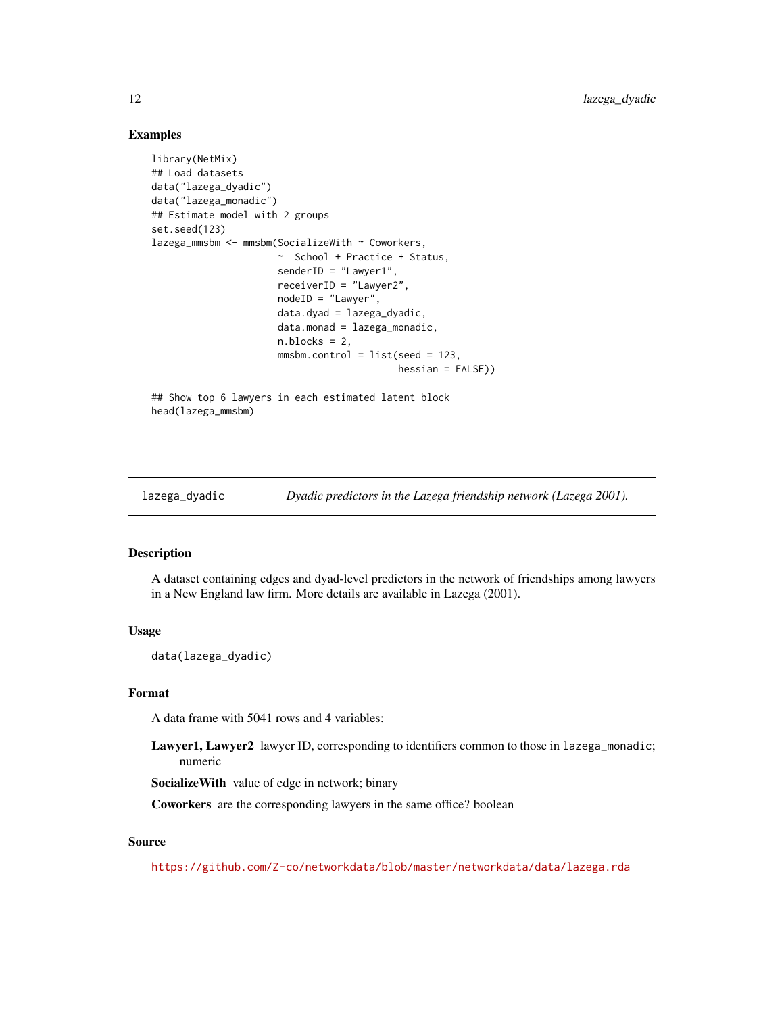# Examples

```
library(NetMix)
## Load datasets
data("lazega_dyadic")
data("lazega_monadic")
## Estimate model with 2 groups
set.seed(123)
lazega_mmsbm <- mmsbm(SocializeWith ~ Coworkers,
                      ~ School + Practice + Status,
                      senderID = "Lawyer1",
                      receiverID = "Lawyer2",
                      nodeID = "Lawyer",
                      data.dyad = lazega_dyadic,
                      data্monad = <math>lazega_monadic,
                      n.blocks = 2,
                      mmsbm.control = list(seed = 123,hessian = FALSE()## Show top 6 lawyers in each estimated latent block
```

```
head(lazega_mmsbm)
```
lazega\_dyadic *Dyadic predictors in the Lazega friendship network (Lazega 2001).*

#### Description

A dataset containing edges and dyad-level predictors in the network of friendships among lawyers in a New England law firm. More details are available in Lazega (2001).

#### Usage

data(lazega\_dyadic)

#### Format

A data frame with 5041 rows and 4 variables:

Lawyer1, Lawyer2 lawyer ID, corresponding to identifiers common to those in lazega\_monadic; numeric

SocializeWith value of edge in network; binary

Coworkers are the corresponding lawyers in the same office? boolean

# Source

<https://github.com/Z-co/networkdata/blob/master/networkdata/data/lazega.rda>

<span id="page-11-0"></span>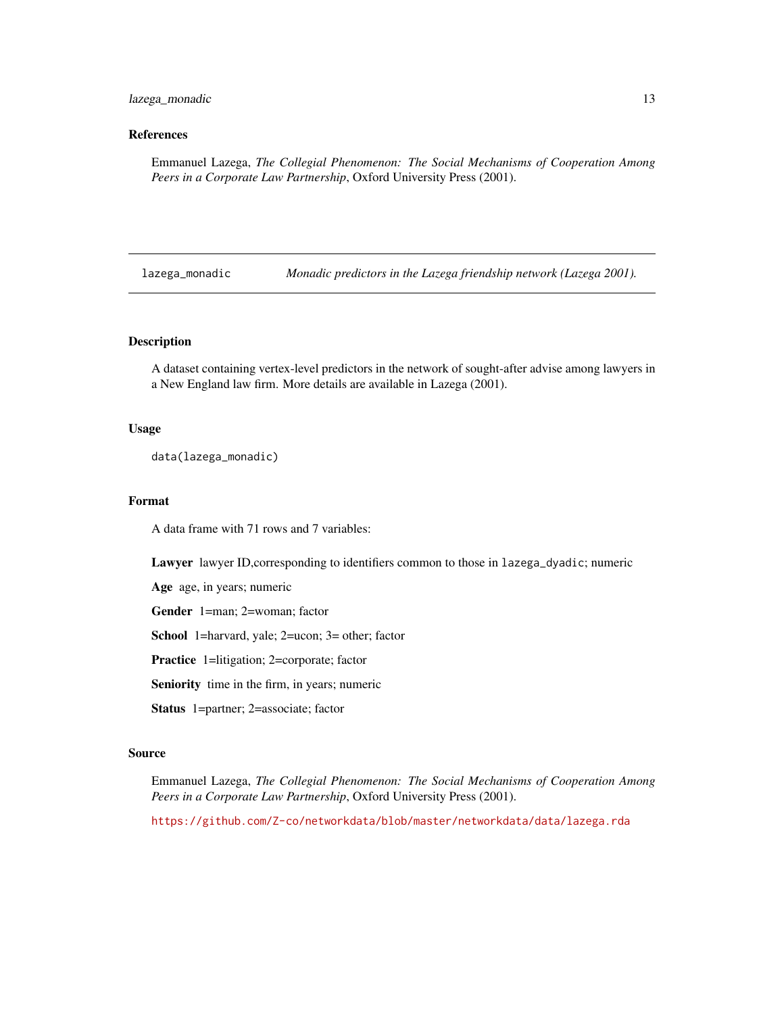# <span id="page-12-0"></span>lazega\_monadic 13

# References

Emmanuel Lazega, *The Collegial Phenomenon: The Social Mechanisms of Cooperation Among Peers in a Corporate Law Partnership*, Oxford University Press (2001).

lazega\_monadic *Monadic predictors in the Lazega friendship network (Lazega 2001).*

#### Description

A dataset containing vertex-level predictors in the network of sought-after advise among lawyers in a New England law firm. More details are available in Lazega (2001).

#### Usage

data(lazega\_monadic)

# Format

A data frame with 71 rows and 7 variables:

Lawyer lawyer ID,corresponding to identifiers common to those in lazega\_dyadic; numeric

Age age, in years; numeric

Gender 1=man; 2=woman; factor

School 1=harvard, yale; 2=ucon; 3= other; factor

Practice 1=litigation; 2=corporate; factor

Seniority time in the firm, in years; numeric

Status 1=partner; 2=associate; factor

#### Source

Emmanuel Lazega, *The Collegial Phenomenon: The Social Mechanisms of Cooperation Among Peers in a Corporate Law Partnership*, Oxford University Press (2001).

<https://github.com/Z-co/networkdata/blob/master/networkdata/data/lazega.rda>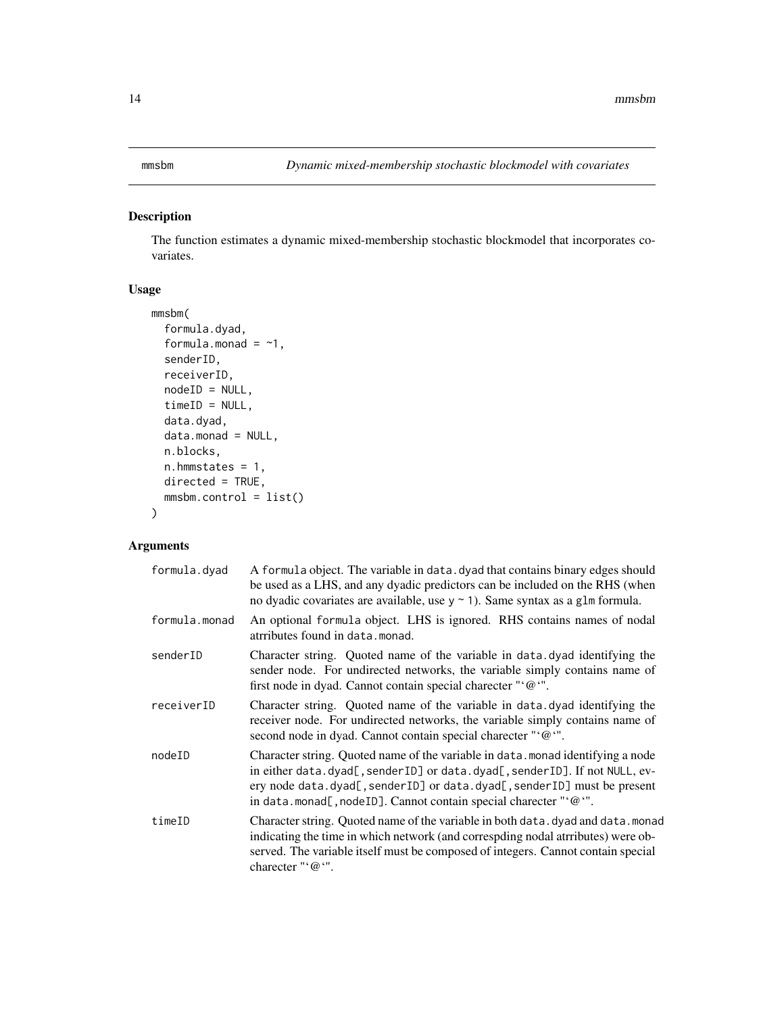# <span id="page-13-1"></span><span id="page-13-0"></span>Description

The function estimates a dynamic mixed-membership stochastic blockmodel that incorporates covariates.

# Usage

```
mmsbm(
  formula.dyad,
  formula.monad = ~1,
  senderID,
  receiverID,
 nodeID = NULL,
  timeID = NULL,data.dyad,
  data.monad = NULL,
  n.blocks,
  n.hmmstates = 1,
 directed = TRUE,
 mmsbm.control = list()
)
```
# Arguments

| formula.dyad  | A formula object. The variable in data. dyad that contains binary edges should<br>be used as a LHS, and any dyadic predictors can be included on the RHS (when<br>no dyadic covariates are available, use $y \sim 1$ ). Same syntax as a g1m formula.                                                                       |
|---------------|-----------------------------------------------------------------------------------------------------------------------------------------------------------------------------------------------------------------------------------------------------------------------------------------------------------------------------|
| formula.monad | An optional formula object. LHS is ignored. RHS contains names of nodal<br>atrributes found in data.monad.                                                                                                                                                                                                                  |
| senderID      | Character string. Quoted name of the variable in data. dyad identifying the<br>sender node. For undirected networks, the variable simply contains name of<br>first node in dyad. Cannot contain special charecter "'@".                                                                                                     |
| receiverID    | Character string. Quoted name of the variable in data. dyad identifying the<br>receiver node. For undirected networks, the variable simply contains name of<br>second node in dyad. Cannot contain special charecter "'@".                                                                                                  |
| nodeID        | Character string. Quoted name of the variable in data monad identifying a node<br>in either data.dyad[, senderID] or data.dyad[, senderID]. If not NULL, ev-<br>ery node data.dyad[, senderID] or data.dyad[, senderID] must be present<br>in data.monad[, nodeID]. Cannot contain special charecter " $\circ$ ( $\circ$ ". |
| timeID        | Character string. Quoted name of the variable in both data. dyad and data. monad<br>indicating the time in which network (and correspding nodal atrributes) were ob-<br>served. The variable itself must be composed of integers. Cannot contain special<br>charecter " $\omega$ ".                                         |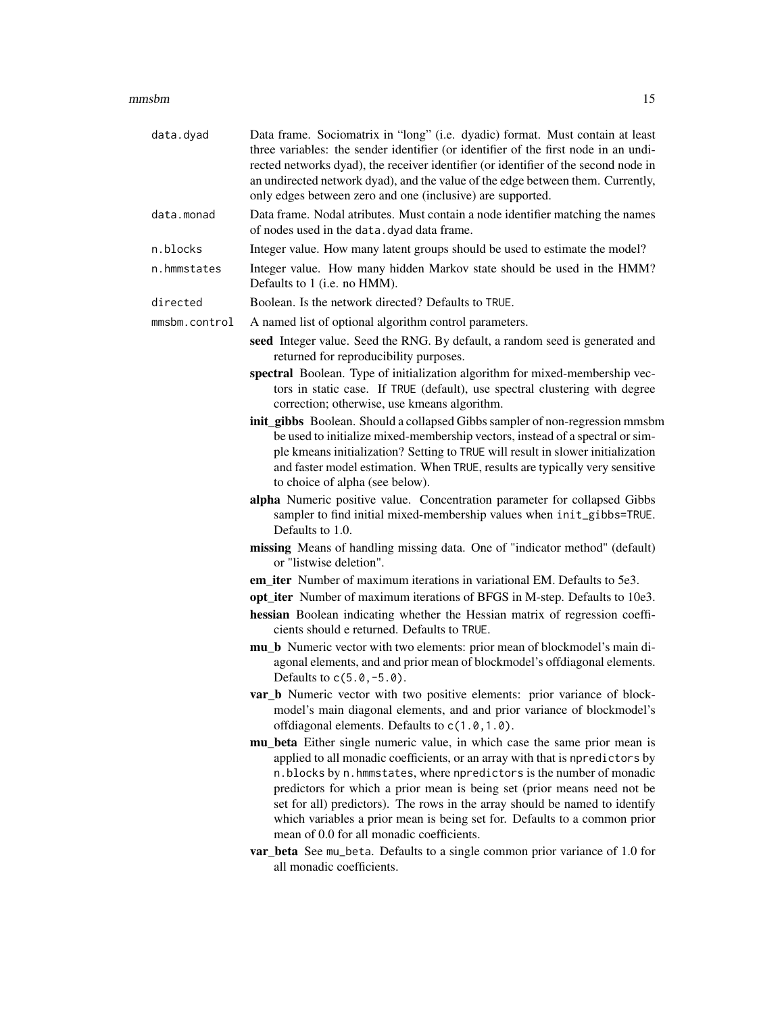#### $\mu$ mmsbm  $\sim$  15

| data.dyad     | Data frame. Sociomatrix in "long" (i.e. dyadic) format. Must contain at least<br>three variables: the sender identifier (or identifier of the first node in an undi-<br>rected networks dyad), the receiver identifier (or identifier of the second node in<br>an undirected network dyad), and the value of the edge between them. Currently,<br>only edges between zero and one (inclusive) are supported.                                                                                                                                                                                        |
|---------------|-----------------------------------------------------------------------------------------------------------------------------------------------------------------------------------------------------------------------------------------------------------------------------------------------------------------------------------------------------------------------------------------------------------------------------------------------------------------------------------------------------------------------------------------------------------------------------------------------------|
| data.monad    | Data frame. Nodal atributes. Must contain a node identifier matching the names<br>of nodes used in the data. dyad data frame.                                                                                                                                                                                                                                                                                                                                                                                                                                                                       |
| n.blocks      | Integer value. How many latent groups should be used to estimate the model?                                                                                                                                                                                                                                                                                                                                                                                                                                                                                                                         |
| n.hmmstates   | Integer value. How many hidden Markov state should be used in the HMM?<br>Defaults to 1 (i.e. no HMM).                                                                                                                                                                                                                                                                                                                                                                                                                                                                                              |
| directed      | Boolean. Is the network directed? Defaults to TRUE.                                                                                                                                                                                                                                                                                                                                                                                                                                                                                                                                                 |
| mmsbm.control | A named list of optional algorithm control parameters.                                                                                                                                                                                                                                                                                                                                                                                                                                                                                                                                              |
|               | seed Integer value. Seed the RNG. By default, a random seed is generated and<br>returned for reproducibility purposes.                                                                                                                                                                                                                                                                                                                                                                                                                                                                              |
|               | spectral Boolean. Type of initialization algorithm for mixed-membership vec-<br>tors in static case. If TRUE (default), use spectral clustering with degree<br>correction; otherwise, use kmeans algorithm.                                                                                                                                                                                                                                                                                                                                                                                         |
|               | init_gibbs Boolean. Should a collapsed Gibbs sampler of non-regression mmsbm<br>be used to initialize mixed-membership vectors, instead of a spectral or sim-<br>ple kmeans initialization? Setting to TRUE will result in slower initialization<br>and faster model estimation. When TRUE, results are typically very sensitive<br>to choice of alpha (see below).                                                                                                                                                                                                                                 |
|               | alpha Numeric positive value. Concentration parameter for collapsed Gibbs<br>sampler to find initial mixed-membership values when init_gibbs=TRUE.<br>Defaults to 1.0.                                                                                                                                                                                                                                                                                                                                                                                                                              |
|               | missing Means of handling missing data. One of "indicator method" (default)<br>or "listwise deletion".                                                                                                                                                                                                                                                                                                                                                                                                                                                                                              |
|               | em_iter Number of maximum iterations in variational EM. Defaults to 5e3.                                                                                                                                                                                                                                                                                                                                                                                                                                                                                                                            |
|               | opt_iter Number of maximum iterations of BFGS in M-step. Defaults to 10e3.                                                                                                                                                                                                                                                                                                                                                                                                                                                                                                                          |
|               | hessian Boolean indicating whether the Hessian matrix of regression coeffi-<br>cients should e returned. Defaults to TRUE.                                                                                                                                                                                                                                                                                                                                                                                                                                                                          |
|               | mu_b Numeric vector with two elements: prior mean of blockmodel's main di-<br>agonal elements, and and prior mean of blockmodel's offdiagonal elements.<br>Defaults to $c(5.0, -5.0)$ .                                                                                                                                                                                                                                                                                                                                                                                                             |
|               | var_b Numeric vector with two positive elements: prior variance of block-<br>model's main diagonal elements, and and prior variance of blockmodel's<br>offdiagonal elements. Defaults to c(1.0, 1.0).                                                                                                                                                                                                                                                                                                                                                                                               |
|               | mu_beta Either single numeric value, in which case the same prior mean is<br>applied to all monadic coefficients, or an array with that is npredictors by<br>n.blocks by n.hmmstates, where npredictors is the number of monadic<br>predictors for which a prior mean is being set (prior means need not be<br>set for all) predictors). The rows in the array should be named to identify<br>which variables a prior mean is being set for. Defaults to a common prior<br>mean of 0.0 for all monadic coefficients.<br>var_beta See mu_beta. Defaults to a single common prior variance of 1.0 for |
|               | all monadic coefficients.                                                                                                                                                                                                                                                                                                                                                                                                                                                                                                                                                                           |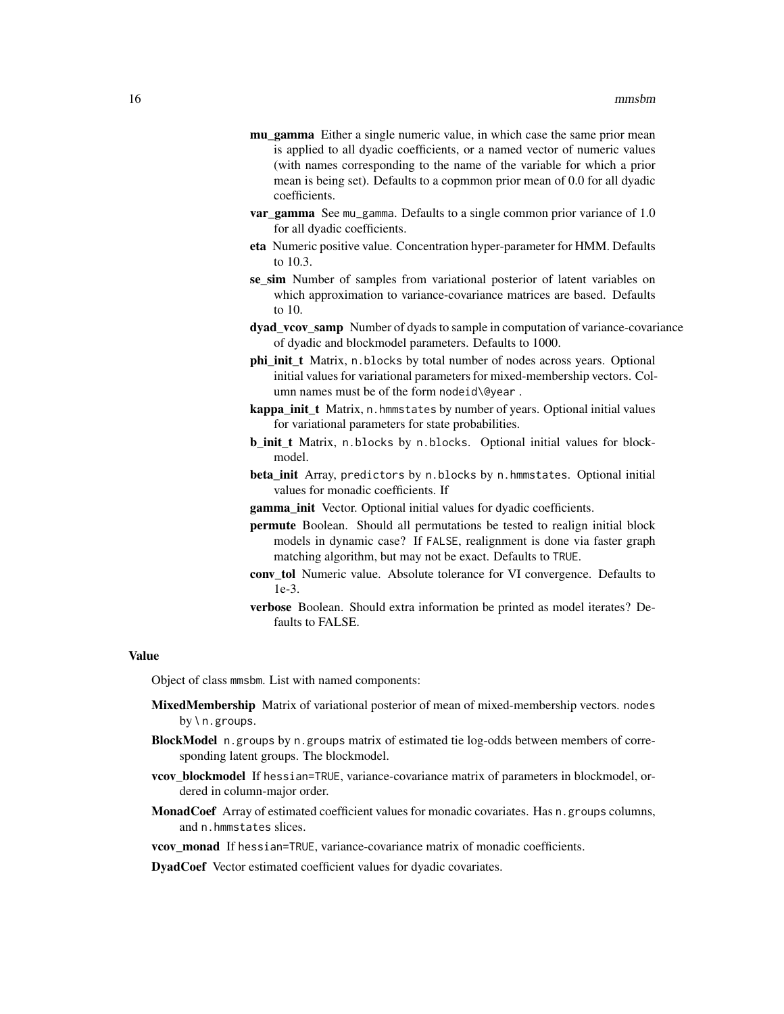- mu\_gamma Either a single numeric value, in which case the same prior mean is applied to all dyadic coefficients, or a named vector of numeric values (with names corresponding to the name of the variable for which a prior mean is being set). Defaults to a copmmon prior mean of 0.0 for all dyadic coefficients.
- var\_gamma See mu\_gamma. Defaults to a single common prior variance of 1.0 for all dyadic coefficients.
- eta Numeric positive value. Concentration hyper-parameter for HMM. Defaults to 10.3.
- se\_sim Number of samples from variational posterior of latent variables on which approximation to variance-covariance matrices are based. Defaults to 10.
- dyad\_vcov\_samp Number of dyads to sample in computation of variance-covariance of dyadic and blockmodel parameters. Defaults to 1000.
- phi init t Matrix, n.blocks by total number of nodes across years. Optional initial values for variational parameters for mixed-membership vectors. Column names must be of the form nodeid\@year .
- kappa\_init\_t Matrix, n. hmmstates by number of years. Optional initial values for variational parameters for state probabilities.
- b\_init\_t Matrix, n.blocks by n.blocks. Optional initial values for blockmodel.
- beta\_init Array, predictors by n.blocks by n.hmmstates. Optional initial values for monadic coefficients. If
- gamma\_init Vector. Optional initial values for dyadic coefficients.
- permute Boolean. Should all permutations be tested to realign initial block models in dynamic case? If FALSE, realignment is done via faster graph matching algorithm, but may not be exact. Defaults to TRUE.
- conv tol Numeric value. Absolute tolerance for VI convergence. Defaults to 1e-3.
- verbose Boolean. Should extra information be printed as model iterates? Defaults to FALSE.

# Value

Object of class mmsbm. List with named components:

- **MixedMembership** Matrix of variational posterior of mean of mixed-membership vectors. nodes by \ n.groups.
- BlockModel n.groups by n.groups matrix of estimated tie log-odds between members of corresponding latent groups. The blockmodel.
- vcov\_blockmodel If hessian=TRUE, variance-covariance matrix of parameters in blockmodel, ordered in column-major order.
- **MonadCoef** Array of estimated coefficient values for monadic covariates. Has n.groups columns, and n.hmmstates slices.
- vcov monad If hessian=TRUE, variance-covariance matrix of monadic coefficients.

DyadCoef Vector estimated coefficient values for dyadic covariates.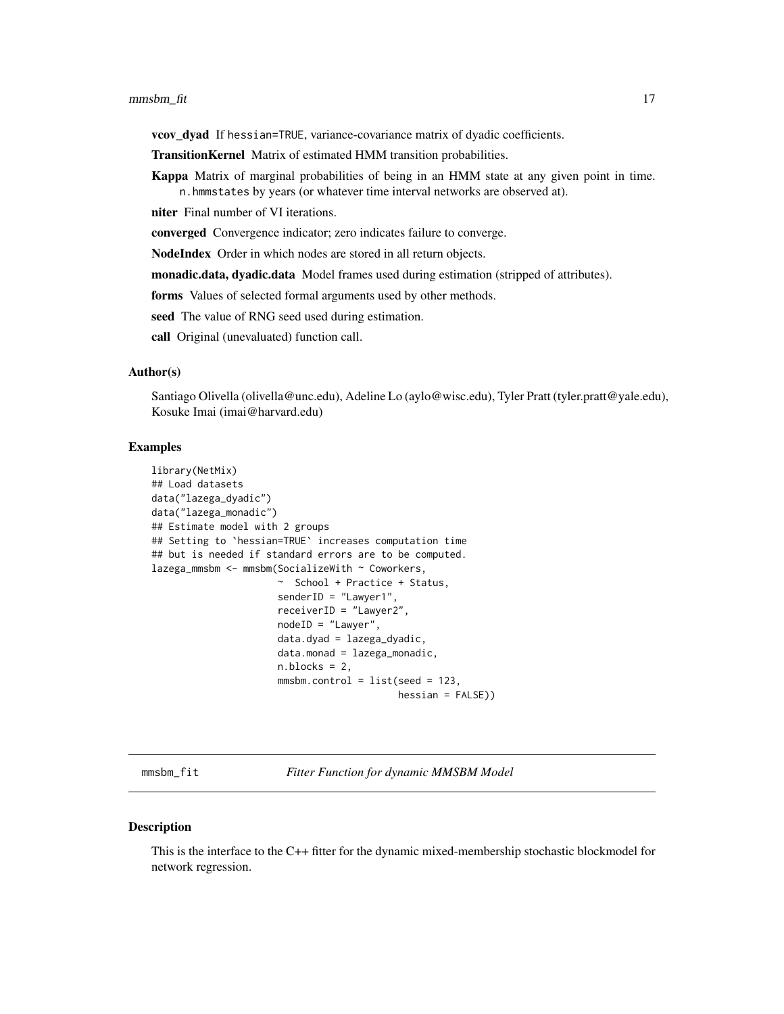#### <span id="page-16-0"></span>mmsbm\_fit 17

vcov\_dyad If hessian=TRUE, variance-covariance matrix of dyadic coefficients.

- TransitionKernel Matrix of estimated HMM transition probabilities.
- Kappa Matrix of marginal probabilities of being in an HMM state at any given point in time. n.hmmstates by years (or whatever time interval networks are observed at).

niter Final number of VI iterations.

converged Convergence indicator; zero indicates failure to converge.

NodeIndex Order in which nodes are stored in all return objects.

monadic.data, dyadic.data Model frames used during estimation (stripped of attributes).

forms Values of selected formal arguments used by other methods.

seed The value of RNG seed used during estimation.

call Original (unevaluated) function call.

# Author(s)

Santiago Olivella (olivella@unc.edu), Adeline Lo (aylo@wisc.edu), Tyler Pratt (tyler.pratt@yale.edu), Kosuke Imai (imai@harvard.edu)

## Examples

```
library(NetMix)
## Load datasets
data("lazega_dyadic")
data("lazega_monadic")
## Estimate model with 2 groups
## Setting to `hessian=TRUE` increases computation time
## but is needed if standard errors are to be computed.
lazega_mmsbm <- mmsbm(SocializeWith ~ Coworkers,
                      ~ School + Practice + Status,
                      senderID = "Lawyer1",
                      receiverID = "Lawyer2",
                      nodeID = "Lawyer",
                      data.dyad = lazega_dyadic,
                      data.monad = lazega_monadic,
                      n.blocks = 2.mmsbm.control = list(seed = 123,hessian = FALSE))
```
mmsbm\_fit *Fitter Function for dynamic MMSBM Model*

#### **Description**

This is the interface to the C++ fitter for the dynamic mixed-membership stochastic blockmodel for network regression.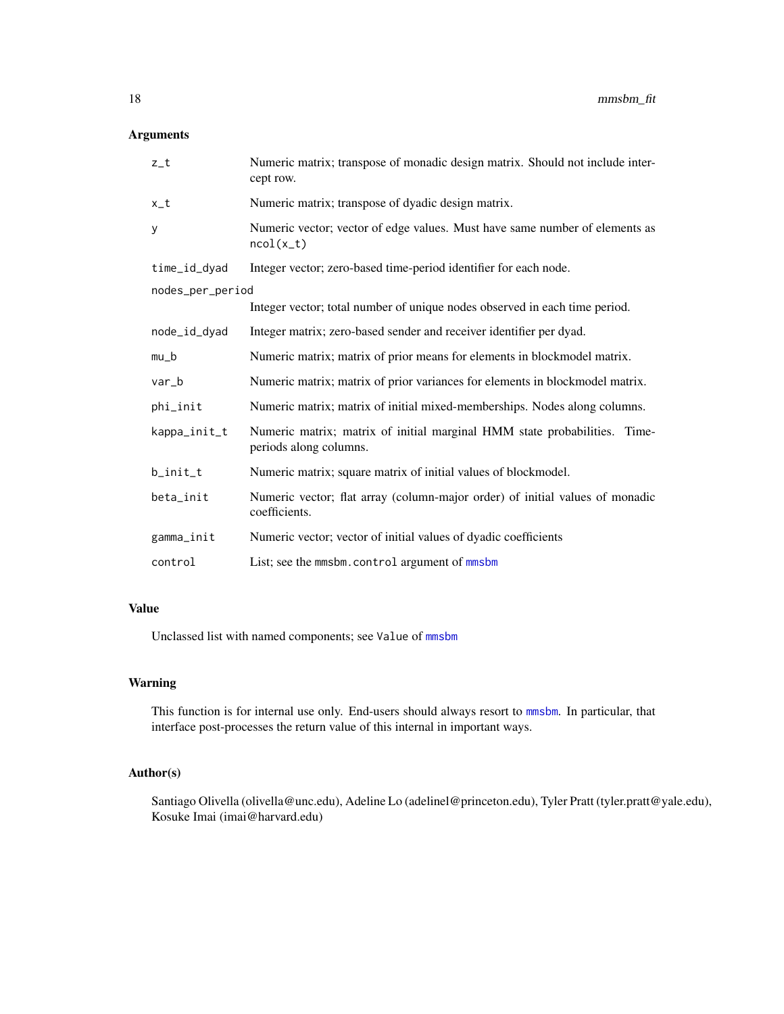# <span id="page-17-0"></span>Arguments

| $z_t$            | Numeric matrix; transpose of monadic design matrix. Should not include inter-<br>cept row.          |  |
|------------------|-----------------------------------------------------------------------------------------------------|--|
| $x_t$            | Numeric matrix; transpose of dyadic design matrix.                                                  |  |
| у                | Numeric vector; vector of edge values. Must have same number of elements as<br>$ncol(x_t)$          |  |
| time_id_dyad     | Integer vector; zero-based time-period identifier for each node.                                    |  |
| nodes_per_period |                                                                                                     |  |
|                  | Integer vector; total number of unique nodes observed in each time period.                          |  |
| node_id_dyad     | Integer matrix; zero-based sender and receiver identifier per dyad.                                 |  |
| $mu_b$           | Numeric matrix; matrix of prior means for elements in blockmodel matrix.                            |  |
| var_b            | Numeric matrix; matrix of prior variances for elements in blockmodel matrix.                        |  |
| phi_init         | Numeric matrix; matrix of initial mixed-memberships. Nodes along columns.                           |  |
| kappa_init_t     | Numeric matrix; matrix of initial marginal HMM state probabilities. Time-<br>periods along columns. |  |
| b_init_t         | Numeric matrix; square matrix of initial values of blockmodel.                                      |  |
| beta_init        | Numeric vector; flat array (column-major order) of initial values of monadic<br>coefficients.       |  |
| gamma_init       | Numeric vector; vector of initial values of dyadic coefficients                                     |  |
| control          | List; see the mmsbm.control argument of mmsbm                                                       |  |

# Value

Unclassed list with named components; see Value of [mmsbm](#page-13-1)

# Warning

This function is for internal use only. End-users should always resort to [mmsbm](#page-13-1). In particular, that interface post-processes the return value of this internal in important ways.

# Author(s)

Santiago Olivella (olivella@unc.edu), Adeline Lo (adelinel@princeton.edu), Tyler Pratt (tyler.pratt@yale.edu), Kosuke Imai (imai@harvard.edu)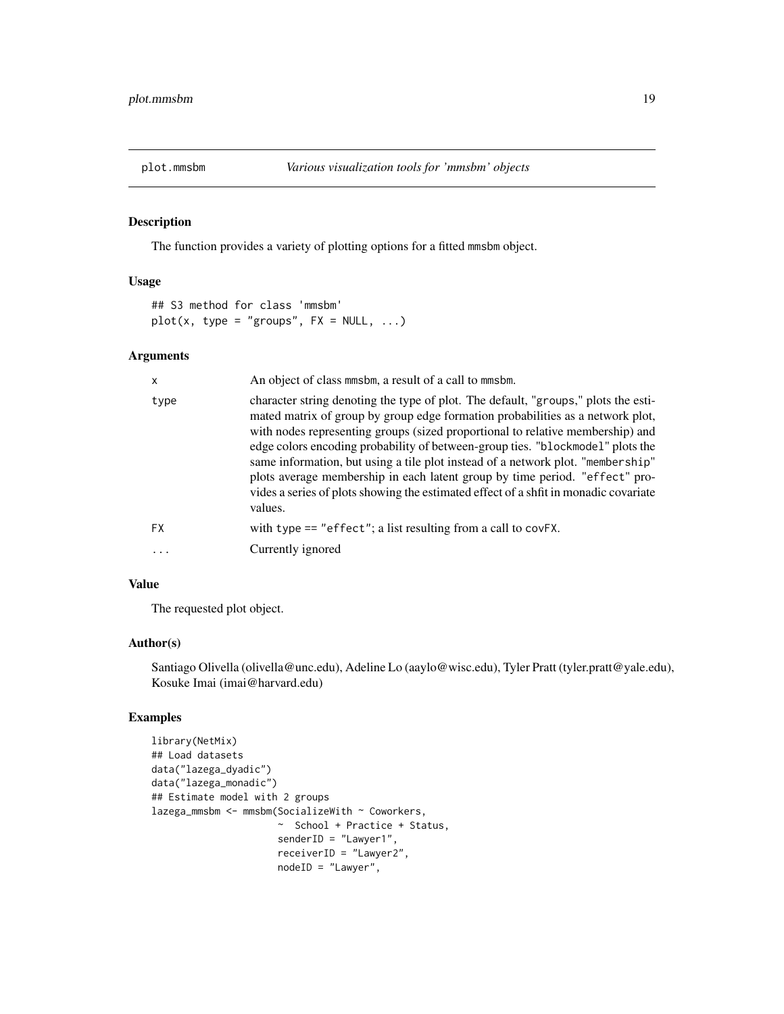<span id="page-18-0"></span>

# Description

The function provides a variety of plotting options for a fitted mmsbm object.

# Usage

```
## S3 method for class 'mmsbm'
plot(x, type = "groups", FX = NULL, ...)
```
# Arguments

| X         | An object of class mmsbm, a result of a call to mmsbm.                                                                                                                                                                                                                                                                                                                                                                                                                                                                                                                                                        |
|-----------|---------------------------------------------------------------------------------------------------------------------------------------------------------------------------------------------------------------------------------------------------------------------------------------------------------------------------------------------------------------------------------------------------------------------------------------------------------------------------------------------------------------------------------------------------------------------------------------------------------------|
| type      | character string denoting the type of plot. The default, "groups," plots the esti-<br>mated matrix of group by group edge formation probabilities as a network plot,<br>with nodes representing groups (sized proportional to relative membership) and<br>edge colors encoding probability of between-group ties. "blockmodel" plots the<br>same information, but using a tile plot instead of a network plot. "membership"<br>plots average membership in each latent group by time period. "effect" pro-<br>vides a series of plots showing the estimated effect of a shfit in monadic covariate<br>values. |
| <b>FX</b> | with type $==$ "effect"; a list resulting from a call to covFX.                                                                                                                                                                                                                                                                                                                                                                                                                                                                                                                                               |
| $\cdots$  | Currently ignored                                                                                                                                                                                                                                                                                                                                                                                                                                                                                                                                                                                             |
|           |                                                                                                                                                                                                                                                                                                                                                                                                                                                                                                                                                                                                               |

# Value

The requested plot object.

# Author(s)

Santiago Olivella (olivella@unc.edu), Adeline Lo (aaylo@wisc.edu), Tyler Pratt (tyler.pratt@yale.edu), Kosuke Imai (imai@harvard.edu)

# Examples

```
library(NetMix)
## Load datasets
data("lazega_dyadic")
data("lazega_monadic")
## Estimate model with 2 groups
lazega_mmsbm <- mmsbm(SocializeWith ~ Coworkers,
                      ~ School + Practice + Status,
                      senderID = "Lawyer1",
                      receiverID = "Lawyer2",
                      nodeID = "Lawyer",
```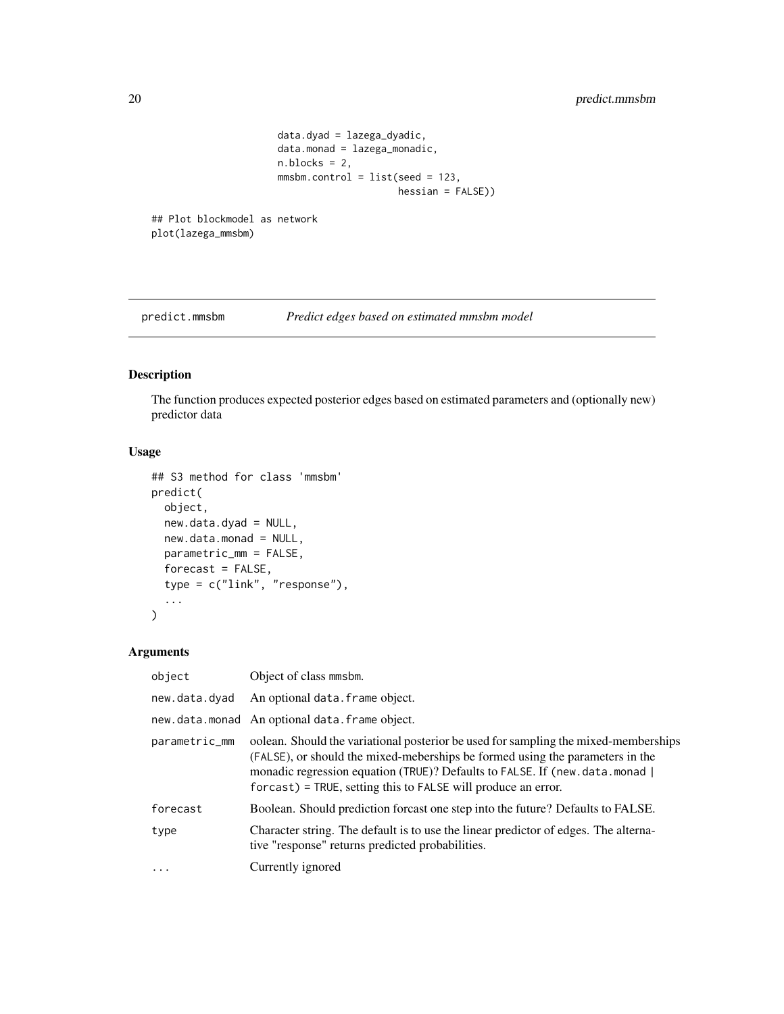```
data.dyad = lazega_dyadic,
                     data.monad = lazega_monadic,
                     n.blocks = 2,
                     mmsbm.control = list(seed = 123,hessian = FALSE))
## Plot blockmodel as network
```

```
plot(lazega_mmsbm)
```
predict.mmsbm *Predict edges based on estimated mmsbm model*

# Description

The function produces expected posterior edges based on estimated parameters and (optionally new) predictor data

# Usage

```
## S3 method for class 'mmsbm'
predict(
 object,
 new.data.dyad = NULL,
 new.data.monad = NULL,
 parametric_mm = FALSE,
 forecast = FALSE,
  type = c("link", "response"),
  ...
\lambda
```
# Arguments

| object        | Object of class mmsbm.                                                                                                                                                                                                                                                                                                    |
|---------------|---------------------------------------------------------------------------------------------------------------------------------------------------------------------------------------------------------------------------------------------------------------------------------------------------------------------------|
| new.data.dyad | An optional data. frame object.                                                                                                                                                                                                                                                                                           |
|               | new.data.monad An optional data.frame object.                                                                                                                                                                                                                                                                             |
| parametric_mm | oolean. Should the variational posterior be used for sampling the mixed-memberships<br>(FALSE), or should the mixed-meberships be formed using the parameters in the<br>monadic regression equation (TRUE)? Defaults to FALSE. If (new.data.monad  <br>$f$ for cast) = TRUE, setting this to FALSE will produce an error. |
| forecast      | Boolean. Should prediction forcast one step into the future? Defaults to FALSE.                                                                                                                                                                                                                                           |
| type          | Character string. The default is to use the linear predictor of edges. The alterna-<br>tive "response" returns predicted probabilities.                                                                                                                                                                                   |
| .             | Currently ignored                                                                                                                                                                                                                                                                                                         |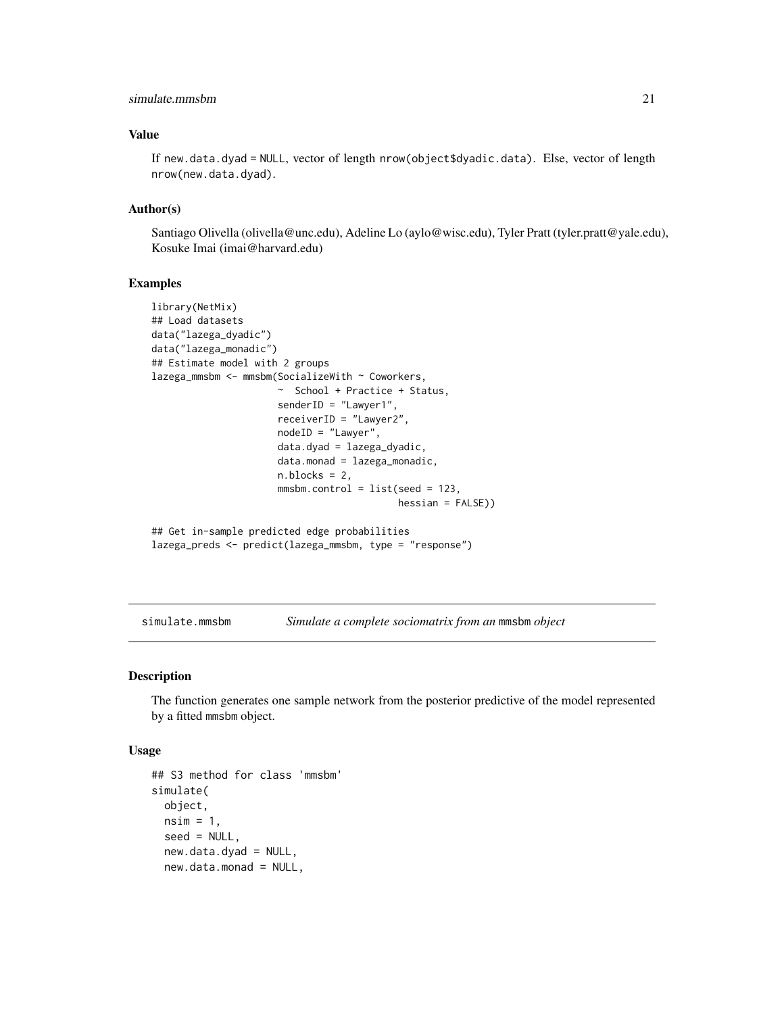# <span id="page-20-0"></span>simulate.mmsbm 21

# Value

If new.data.dyad = NULL, vector of length nrow(object\$dyadic.data). Else, vector of length nrow(new.data.dyad).

# Author(s)

Santiago Olivella (olivella@unc.edu), Adeline Lo (aylo@wisc.edu), Tyler Pratt (tyler.pratt@yale.edu), Kosuke Imai (imai@harvard.edu)

#### Examples

```
library(NetMix)
## Load datasets
data("lazega_dyadic")
data("lazega_monadic")
## Estimate model with 2 groups
lazega_mmsbm <- mmsbm(SocializeWith ~ Coworkers,
                     ~ School + Practice + Status,
                      senderID = "Lawyer1",
                      receiverID = "Lawyer2",
                      nodeID = "Lawyer",
                      data.dyad = lazega_dyadic,
                      data.monad = lazega_monadic,
                      n.blocks = 2,
                      mmsbm.control = list(seed = 123,hessian = FALSE))
## Get in-sample predicted edge probabilities
lazega_preds <- predict(lazega_mmsbm, type = "response")
```
<span id="page-20-1"></span>simulate.mmsbm *Simulate a complete sociomatrix from an* mmsbm *object*

# Description

The function generates one sample network from the posterior predictive of the model represented by a fitted mmsbm object.

#### Usage

```
## S3 method for class 'mmsbm'
simulate(
 object,
 nsim = 1,
  seed = NULL,
  new.data.dyad = NULL,
  new.data.monad = NULL,
```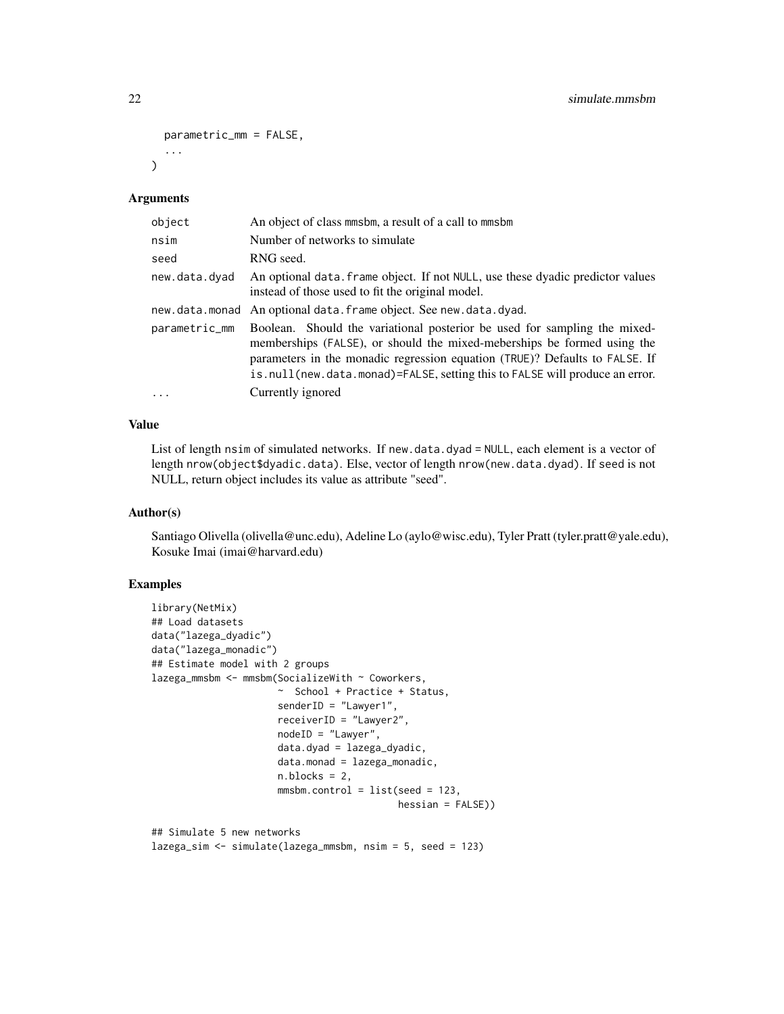```
parametric_mm = FALSE,
  ...
\lambda
```
#### Arguments

| object        | An object of class mmsbm, a result of a call to mmsbm                                                                                                                                                                                                                                                              |
|---------------|--------------------------------------------------------------------------------------------------------------------------------------------------------------------------------------------------------------------------------------------------------------------------------------------------------------------|
| nsim          | Number of networks to simulate                                                                                                                                                                                                                                                                                     |
| seed          | RNG seed.                                                                                                                                                                                                                                                                                                          |
| new.data.dyad | An optional data. Frame object. If not NULL, use these dyadic predictor values<br>instead of those used to fit the original model.                                                                                                                                                                                 |
|               | new.data.monad An optional data.frame object. See new.data.dyad.                                                                                                                                                                                                                                                   |
| parametric_mm | Boolean. Should the variational posterior be used for sampling the mixed-<br>memberships (FALSE), or should the mixed-meberships be formed using the<br>parameters in the monadic regression equation (TRUE)? Defaults to FALSE. If<br>is.null(new.data.monad)=FALSE, setting this to FALSE will produce an error. |
| $\cdots$      | Currently ignored                                                                                                                                                                                                                                                                                                  |

# Value

List of length nsim of simulated networks. If new.data.dyad = NULL, each element is a vector of length nrow(object\$dyadic.data). Else, vector of length nrow(new.data.dyad). If seed is not NULL, return object includes its value as attribute "seed".

# Author(s)

Santiago Olivella (olivella@unc.edu), Adeline Lo (aylo@wisc.edu), Tyler Pratt (tyler.pratt@yale.edu), Kosuke Imai (imai@harvard.edu)

# Examples

```
library(NetMix)
## Load datasets
data("lazega_dyadic")
data("lazega_monadic")
## Estimate model with 2 groups
lazega_mmsbm <- mmsbm(SocializeWith ~ Coworkers,
                      ~ School + Practice + Status,
                      senderID = "Lawyer1",
                      receiverID = "Lawyer2",
                      nodeID = "Lawyer",
                      data.dyad = lazega_dyadic,
                      data.monad = lazega_monadic,
                      n.blocks = 2,
                      mmsbm.control = list(seed = 123,hessian = FALSE))
## Simulate 5 new networks
```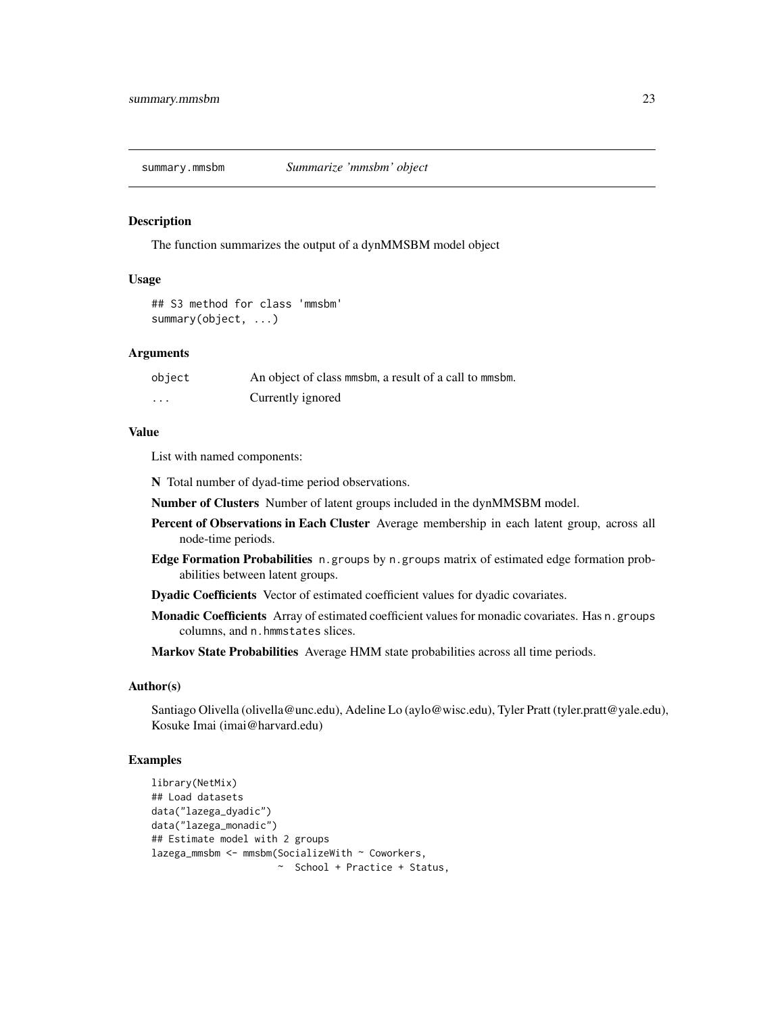<span id="page-22-0"></span>

#### Description

The function summarizes the output of a dynMMSBM model object

### Usage

```
## S3 method for class 'mmsbm'
summary(object, ...)
```
#### **Arguments**

| object   | An object of class minsbin, a result of a call to minsbin. |
|----------|------------------------------------------------------------|
| $\cdots$ | Currently ignored                                          |

#### Value

List with named components:

N Total number of dyad-time period observations.

Number of Clusters Number of latent groups included in the dynMMSBM model.

- Percent of Observations in Each Cluster Average membership in each latent group, across all node-time periods.
- Edge Formation Probabilities n.groups by n.groups matrix of estimated edge formation probabilities between latent groups.

Dyadic Coefficients Vector of estimated coefficient values for dyadic covariates.

Monadic Coefficients Array of estimated coefficient values for monadic covariates. Has n. groups columns, and n.hmmstates slices.

Markov State Probabilities Average HMM state probabilities across all time periods.

# Author(s)

Santiago Olivella (olivella@unc.edu), Adeline Lo (aylo@wisc.edu), Tyler Pratt (tyler.pratt@yale.edu), Kosuke Imai (imai@harvard.edu)

# Examples

```
library(NetMix)
## Load datasets
data("lazega_dyadic")
data("lazega_monadic")
## Estimate model with 2 groups
lazega_mmsbm <- mmsbm(SocializeWith ~ Coworkers,
                     ~ School + Practice + Status,
```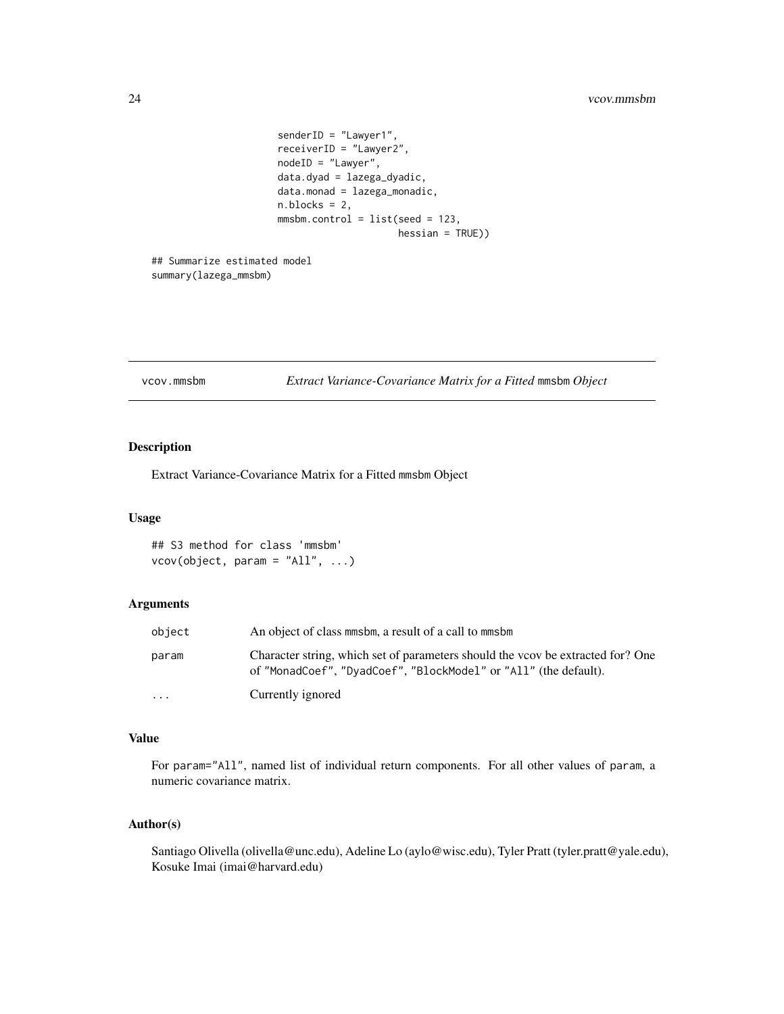```
senderID = "Lawyer1",
receiverID = "Lawyer2",
nodeID = "Lawyer",
data.dyad = lazega_dyadic,
data.monad = lazega_monadic,
n.blocks = 2,
mmsbm.control = list(seed = 123,
                     hessian = TRUE))
```
## Summarize estimated model summary(lazega\_mmsbm)

vcov.mmsbm *Extract Variance-Covariance Matrix for a Fitted* mmsbm *Object*

# Description

Extract Variance-Covariance Matrix for a Fitted mmsbm Object

# Usage

## S3 method for class 'mmsbm' vcov(object, param = "All", ...)

# Arguments

| object   | An object of class minsbin, a result of a call to minsbin                                                                                           |
|----------|-----------------------------------------------------------------------------------------------------------------------------------------------------|
| param    | Character string, which set of parameters should the vcov be extracted for? One<br>of "MonadCoef", "DyadCoef", "BlockModel" or "All" (the default). |
| $\cdots$ | Currently ignored                                                                                                                                   |

# Value

For param="All", named list of individual return components. For all other values of param, a numeric covariance matrix.

# Author(s)

Santiago Olivella (olivella@unc.edu), Adeline Lo (aylo@wisc.edu), Tyler Pratt (tyler.pratt@yale.edu), Kosuke Imai (imai@harvard.edu)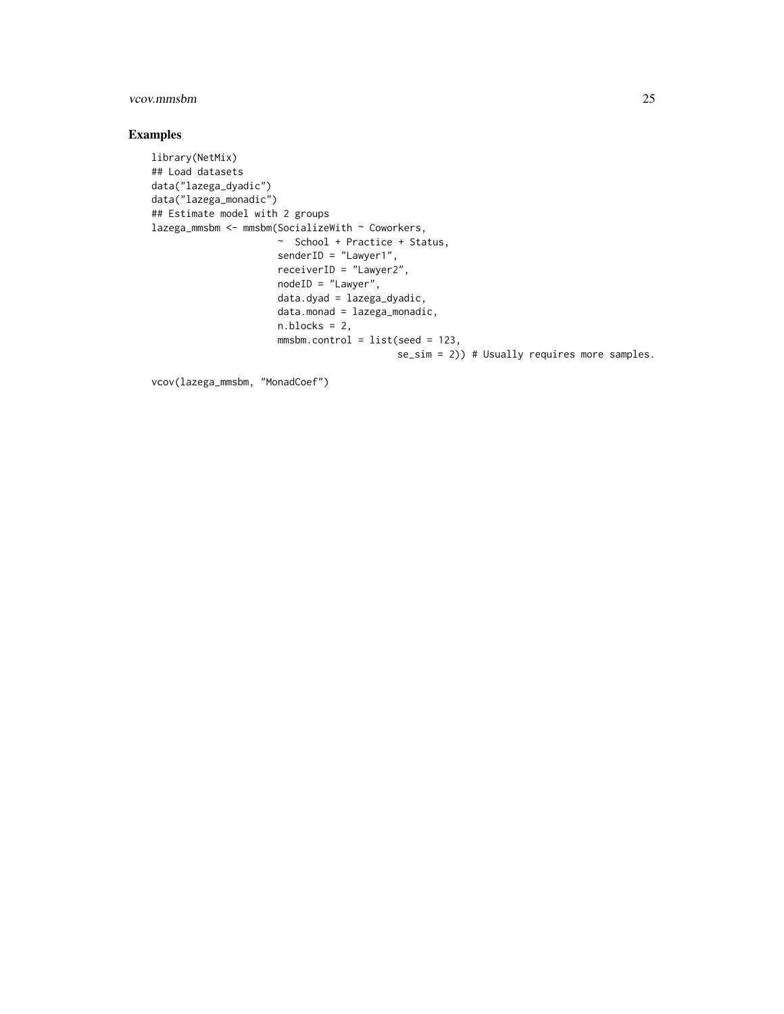# vcov.mmsbm 25

# Examples

```
library(NetMix)
## Load datasets
data("lazega_dyadic")
data("lazega_monadic")
## Estimate model with 2 groups
lazega_mmsbm <- mmsbm(SocializeWith ~ Coworkers,
                     ~ School + Practice + Status,
                     senderID = "Lawyer1",
                      receiverID = "Lawyer2",
                     nodeID = "Lawyer",
                      data.dyad = lazega_dyadic,
                      data.monad = lazega_monadic,
                      n.blocks = 2,
                      mmsbm.control = list(seed = 123,
                                           se_sim = 2)) # Usually requires more samples.
```
vcov(lazega\_mmsbm, "MonadCoef")